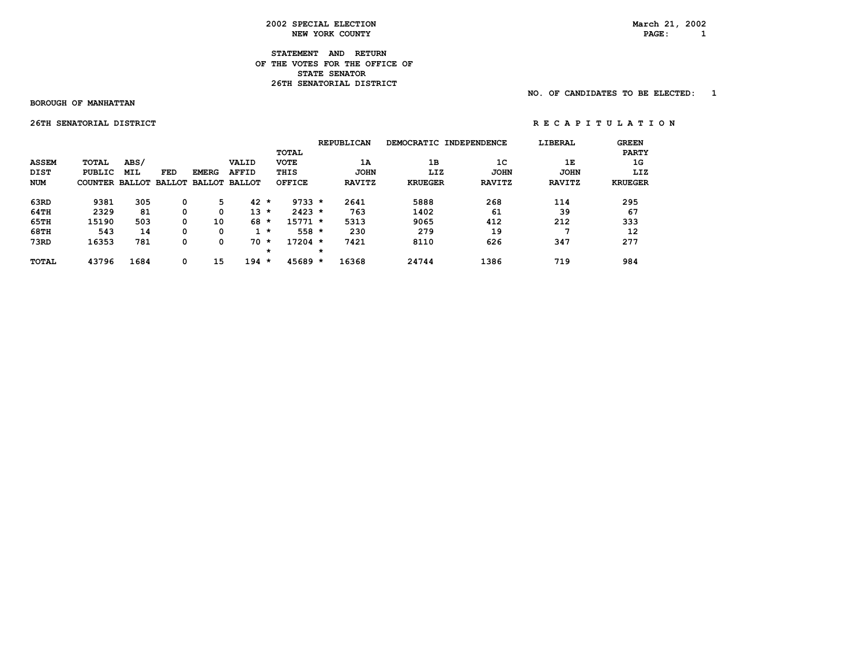#### **STATEMENT AND RETURN OF THE VOTES FOR THE OFFICE OF STATE SENATOR 26TH SENATORIAL DISTRICT**

#### **BOROUGH OF MANHATTAN**

# **NO. OF CANDIDATES TO BE ELECTED: 1**

#### **26THSENATORIALDISTRICT R E C A P I T U L A T I O N**

|              |                       |      |     |              |                      |           |             |         | <b>REPUBLICAN</b> |                | DEMOCRATIC INDEPENDENCE | LIBERAL       | <b>GREEN</b>   |
|--------------|-----------------------|------|-----|--------------|----------------------|-----------|-------------|---------|-------------------|----------------|-------------------------|---------------|----------------|
|              |                       |      |     |              |                      |           | TOTAL       |         |                   |                |                         |               | <b>PARTY</b>   |
| <b>ASSEM</b> | TOTAL                 | ABS/ |     |              | VALID                |           | <b>VOTE</b> |         | 1A                | 1B             | 1 <sup>c</sup>          | 1Е            | 1G             |
| <b>DIST</b>  | PUBLIC                | MIL  | FED | <b>EMERG</b> | <b>AFFID</b>         |           | THIS        |         | <b>JOHN</b>       | LIZ            | <b>JOHN</b>             | <b>JOHN</b>   | LIZ            |
| <b>NUM</b>   | COUNTER BALLOT BALLOT |      |     |              | <b>BALLOT BALLOT</b> |           | OFFICE      |         | <b>RAVITZ</b>     | <b>KRUEGER</b> | <b>RAVITZ</b>           | <b>RAVITZ</b> | <b>KRUEGER</b> |
| 63RD         | 9381                  | 305  | 0   | 5            | 42                   | $\star$   | $9733 *$    |         | 2641              | 5888           | 268                     | 114           | 295            |
| 64TH         | 2329                  | 81   | 0   | 0            | 13                   | $\star$   | $2423 *$    |         | 763               | 1402           | 61                      | 39            | 67             |
| 65TH         | 15190                 | 503  | 0   | 10           | 68                   | $\star$   | $15771 *$   |         | 5313              | 9065           | 412                     | 212           | 333            |
| 68TH         | 543                   | 14   | 0   | 0            |                      | $1 \star$ | $558 *$     |         | 230               | 279            | 19                      |               | 12             |
| 73RD         | 16353                 | 781  | 0   | 0            | 70                   | $\star$   | $17204$ *   |         | 7421              | 8110           | 626                     | 347           | 277            |
|              |                       |      |     |              |                      | $\star$   |             | $\star$ |                   |                |                         |               |                |
| <b>TOTAL</b> | 43796                 | 1684 | 0   | 15           | 194                  | $\star$   | $45689 *$   |         | 16368             | 24744          | 1386                    | 719           | 984            |

 $PAGE: 1$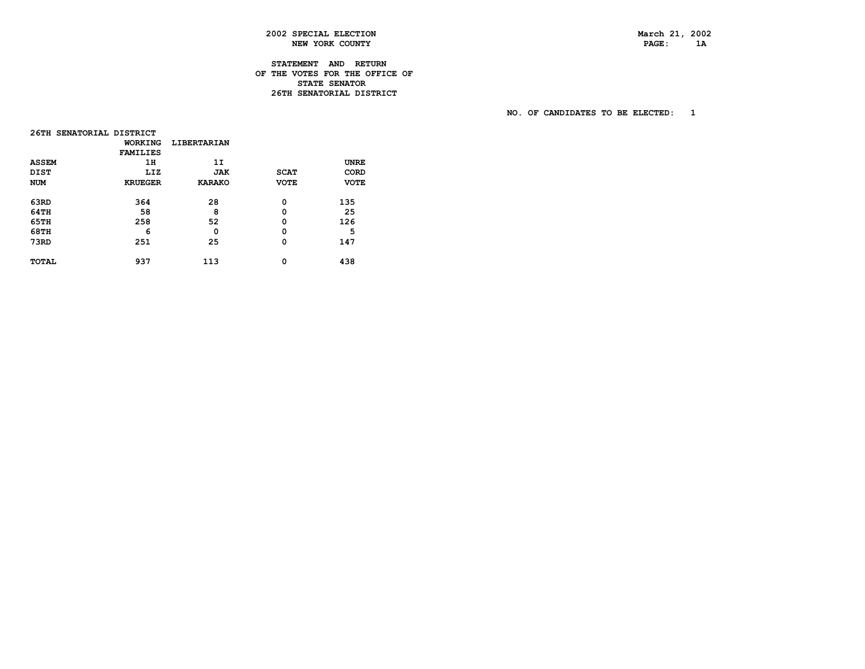PAGE: 1A

### **2002 SPECIAL ELECTION March 21, 2002 NEW YORK COUNTY**

### **STATEMENT AND RETURN OF THE VOTES FOR THE OFFICE OF STATE SENATOR** STATE SENATOR **26TH SENATORIAL DISTRICT**

| 26TH SENATORIAL DISTRICT |                 |                    |             |             |
|--------------------------|-----------------|--------------------|-------------|-------------|
|                          | <b>WORKING</b>  | <b>LIBERTARIAN</b> |             |             |
|                          | <b>FAMILIES</b> |                    |             |             |
| <b>ASSEM</b>             | 1н              | 11                 |             | <b>UNRE</b> |
| <b>DIST</b>              | LIZ             | <b>JAK</b>         | <b>SCAT</b> | CORD        |
| <b>NUM</b>               | <b>KRUEGER</b>  | <b>KARAKO</b>      | <b>VOTE</b> | <b>VOTE</b> |
| 63RD                     | 364             | 28                 | 0           | 135         |
| 64TH                     | 58              | 8                  | 0           | 25          |
| 65TH                     | 258             | 52                 | 0           | 126         |
| 68TH                     | 6               | 0                  | 0           | 5           |
| 73RD                     | 251             | 25                 | 0           | 147         |
| TOTAL                    | 937             | 113                | 0           | 438         |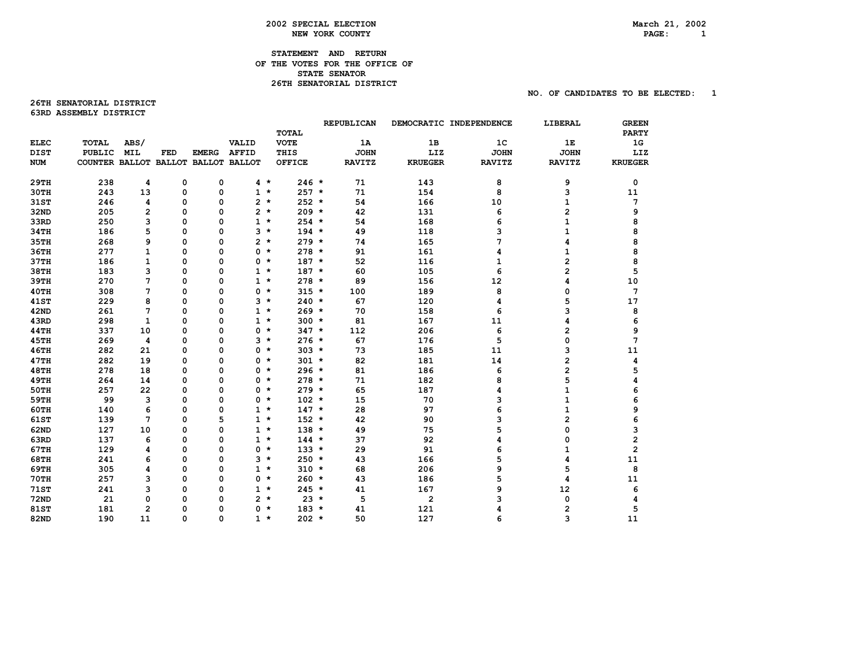#### **STATEMENT AND RETURN OF THE VOTES FOR THE OFFICE OF STATE SENATOR 26TH SENATORIAL DISTRICT**

**26TH SENATORIAL DISTRICT 63RD ASSEMBLY DISTRICT** 

|             |                                     |                |             |              |                |         | <b>TOTAL</b> | REPUBLICAN    |                | DEMOCRATIC INDEPENDENCE | LIBERAL       | <b>GREEN</b><br><b>PARTY</b> |
|-------------|-------------------------------------|----------------|-------------|--------------|----------------|---------|--------------|---------------|----------------|-------------------------|---------------|------------------------------|
| <b>ELEC</b> | TOTAL                               | ABS/           |             |              | VALID          |         | <b>VOTE</b>  | 1A            | 1B             | 1 <sup>C</sup>          | 1E            | 1G                           |
| <b>DIST</b> | PUBLIC                              | <b>MIL</b>     | <b>FED</b>  | <b>EMERG</b> | <b>AFFID</b>   |         | THIS         | <b>JOHN</b>   | LIZ            | <b>JOHN</b>             | <b>JOHN</b>   | LIZ                          |
| <b>NUM</b>  | COUNTER BALLOT BALLOT BALLOT BALLOT |                |             |              |                |         | OFFICE       | <b>RAVITZ</b> | <b>KRUEGER</b> | <b>RAVITZ</b>           | <b>RAVITZ</b> | <b>KRUEGER</b>               |
| 29TH        | 238                                 | 4              | 0           | 0            | $4 *$          |         | $246 *$      | 71            | 143            | 8                       | 9             | 0                            |
| <b>30TH</b> | 243                                 | 13             | 0           | 0            | $\mathbf{1}$   | $\star$ | $257 *$      | 71            | 154            | 8                       | 3             | 11                           |
| 31ST        | 246                                 | 4              | 0           | 0            | $\mathbf{2}$   | $\star$ | $252 *$      | 54            | 166            | 10                      | 1             | 7                            |
| 32ND        | 205                                 | 2              | 0           | 0            | 2              | $\star$ | $209 *$      | 42            | 131            | 6                       | 2             | 9                            |
| 33RD        | 250                                 | 3              | $\Omega$    | 0            | $\mathbf{1}$   | $\star$ | $254 *$      | 54            | 168            | 6                       | 1             | 8                            |
| 34TH        | 186                                 | 5              | 0           | 0            | 3              | $\star$ | $194 *$      | 49            | 118            | 3                       | 1             | 8                            |
| 35TH        | 268                                 | 9              | $\mathbf 0$ | 0            | 2              | $\star$ | $279 *$      | 74            | 165            | 7                       | 4             | 8                            |
| 36TH        | 277                                 | 1              | 0           | 0            | 0              | $\star$ | $278 *$      | 91            | 161            | 4                       | $\mathbf{1}$  | 8                            |
| 37TH        | 186                                 | 1              | 0           | 0            | 0              | $\star$ | $187 *$      | 52            | 116            | 1                       | 2             | 8                            |
| 38TH        | 183                                 | 3              | $\mathbf 0$ | 0            | $1 *$          |         | $187 *$      | 60            | 105            | 6                       | 2             | 5                            |
| 39TH        | 270                                 | 7              | $\mathbf 0$ | 0            | $1 *$          |         | $278 *$      | 89            | 156            | 12                      | 4             | 10                           |
| <b>40TH</b> | 308                                 | 7              | $\mathbf 0$ | 0            | 0              | $\star$ | $315 *$      | 100           | 189            | 8                       | 0             | 7                            |
| <b>41ST</b> | 229                                 | 8              | $\mathbf 0$ | 0            | 3              | $\star$ | $240 *$      | 67            | 120            | 4                       | 5             | 17                           |
| 42ND        | 261                                 | 7              | 0           | 0            | $\mathbf{1}$   | $\star$ | $269 *$      | 70            | 158            | 6                       | 3             | 8                            |
| 43RD        | 298                                 | 1              | 0           | 0            | $1 \star$      |         | $300 *$      | 81            | 167            | 11                      | 4             | 6                            |
| <b>44TH</b> | 337                                 | 10             | $\Omega$    | 0            | 0              | $\star$ | $347 *$      | 112           | 206            | 6                       | 2             | 9                            |
| <b>45TH</b> | 269                                 | 4              | $\mathbf 0$ | 0            | 3              | $\star$ | $276 *$      | 67            | 176            | 5                       | 0             | 7                            |
| 46TH        | 282                                 | 21             | $\mathbf 0$ | 0            | 0              | $\star$ | $303 *$      | 73            | 185            | 11                      | 3             | 11                           |
| 47TH        | 282                                 | 19             | $\mathbf 0$ | 0            | 0              | $\star$ | $301 *$      | 82            | 181            | 14                      | 2             | 4                            |
| <b>48TH</b> | 278                                 | 18             | $\mathbf 0$ | 0            | 0              | $\star$ | $296 *$      | 81            | 186            | 6                       | 2             | 5                            |
| <b>49TH</b> | 264                                 | 14             | $\mathbf 0$ | 0            | 0              | $\star$ | $278 *$      | 71            | 182            | 8                       | 5             | 4                            |
| <b>50TH</b> | 257                                 | 22             | $\Omega$    | 0            | 0              | $\star$ | $279 *$      | 65            | 187            | 4                       | 1             | 6                            |
| 59TH        | 99                                  | 3              | $\mathbf 0$ | 0            | 0              | $\star$ | $102 *$      | 15            | 70             | 3                       | 1             | 6                            |
| 60TH        | 140                                 | 6              | $\mathbf 0$ | 0            | $\mathbf{1}$   | $\star$ | $147 *$      | 28            | 97             | 6                       | 1             | 9                            |
| <b>61ST</b> | 139                                 | 7              | $\Omega$    | 5            | $\mathbf{1}$   | $\star$ | $152 *$      | 42            | 90             | 3                       | 2             | 6                            |
| 62ND        | 127                                 | 10             | $\mathbf 0$ | 0            | $\mathbf{1}$   | $\star$ | $138 *$      | 49            | 75             | 5                       | 0             | з                            |
| 63RD        | 137                                 | 6              | $\mathbf 0$ | 0            | $1 *$          |         | $144 *$      | 37            | 92             | 4                       | 0             | 2                            |
| 67TH        | 129                                 | 4              | 0           | 0            | 0              | $\star$ | $133 *$      | 29            | 91             | 6                       | 1             | $\mathbf{2}$                 |
| <b>68TH</b> | 241                                 | 6              | $\Omega$    | 0            | $3 *$          |         | $250 *$      | 43            | 166            | 5                       | 4             | 11                           |
| 69TH        | 305                                 | 4              | $\mathbf 0$ | 0            | $1 *$          |         | $310 *$      | 68            | 206            | 9                       | 5             | 8                            |
| <b>70TH</b> | 257                                 | 3              | $\Omega$    | 0            | 0              | $\star$ | $260 *$      | 43            | 186            | 5                       | 4             | 11                           |
| <b>71ST</b> | 241                                 | 3              | $\Omega$    | 0            | $1 *$          |         | $245 *$      | 41            | 167            | 9                       | 12            | 6                            |
| <b>72ND</b> | 21                                  | 0              | $\Omega$    | 0            | $\overline{2}$ | $\star$ | $23 *$       | 5             | 2              | 3                       | 0             | 4                            |
| <b>81ST</b> | 181                                 | $\overline{2}$ | 0           | 0            | 0              | $\star$ | $183 *$      | 41            | 121            | 4                       | 2             | 5                            |
| <b>82ND</b> | 190                                 | 11             | $\mathbf 0$ | 0            | $1 *$          |         | $202 *$      | 50            | 127            | 6                       | 3             | 11                           |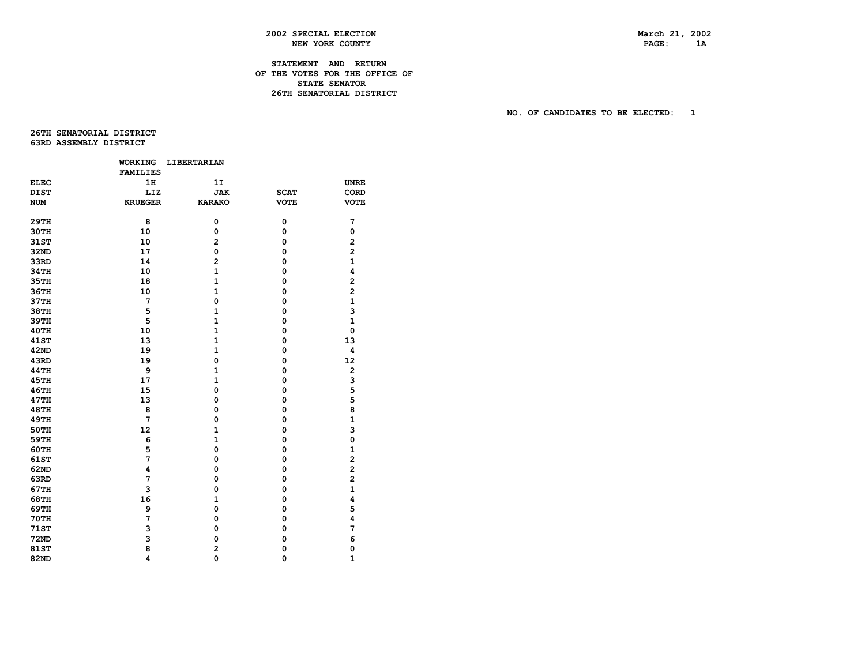PAGE: 1A

#### **2002 SPECIAL ELECTION March 21, 2002 NEW YORK COUNTY**

### **STATEMENT AND RETURN OF THE VOTES FOR THE OFFICE OF STATE SENATOR 26TH SENATORIAL DISTRICT**

 **NO. OF CANDIDATES TO BE ELECTED: 1** 

 **26THSENATORIALDISTRICT 63RD ASSEMBLY DISTRICT** 

|             | <b>WORKING</b><br><b>FAMILIES</b> | LIBERTARIAN    |             |                         |
|-------------|-----------------------------------|----------------|-------------|-------------------------|
| <b>ELEC</b> | 1H                                | 1 <sub>I</sub> |             | <b>UNRE</b>             |
| <b>DIST</b> | LIZ                               | <b>JAK</b>     | <b>SCAT</b> | CORD                    |
| <b>NUM</b>  | <b>KRUEGER</b>                    | <b>KARAKO</b>  | <b>VOTE</b> | <b>VOTE</b>             |
| 29TH        | 8                                 | 0              | 0           | 7                       |
| 30TH        | 10                                | 0              | 0           | 0                       |
| 31ST        | 10                                | $\overline{a}$ | 0           | 2                       |
| 32ND        | 17                                | $\mathbf 0$    | 0           | $\overline{\mathbf{c}}$ |
| 33RD        | 14                                | $\overline{a}$ | 0           | $\mathbf{1}$            |
| 34TH        | 10                                | $\mathbf{1}$   | 0           | 4                       |
| 35TH        | 18                                | $\mathbf{1}$   | 0           | $\overline{\mathbf{c}}$ |
| 36TH        | 10                                | $\mathbf{1}$   | 0           | $\overline{\mathbf{c}}$ |
| 37TH        | 7                                 | $\mathbf 0$    | 0           | $\mathbf 1$             |
| 38TH        | 5                                 | $\mathbf{1}$   | $\mathbf 0$ | 3                       |
| 39TH        | 5                                 | $\mathbf{1}$   | 0           | $\mathbf{1}$            |
| <b>40TH</b> | 10                                | $\mathbf{1}$   | 0           | 0                       |
| <b>41ST</b> | 13                                | $\mathbf{1}$   | 0           | 13                      |
| 42ND        | 19                                | $\mathbf{1}$   | 0           | 4                       |
| 43RD        | 19                                | 0              | 0           | 12                      |
| <b>44TH</b> | 9                                 | $\mathbf{1}$   | 0           | $\overline{\mathbf{c}}$ |
| <b>45TH</b> | 17                                | $\mathbf{1}$   | 0           | 3                       |
| 46TH        | 15                                | 0              | 0           | 5                       |
| 47TH        | 13                                | 0              | 0           | 5                       |
| <b>48TH</b> | 8                                 | 0              | 0           | 8                       |
| <b>49TH</b> | 7                                 | 0              | $\mathbf 0$ | $\mathbf 1$             |
| <b>50TH</b> | 12                                | $\mathbf{1}$   | $\mathbf 0$ | 3                       |
| 59TH        | 6                                 | $\mathbf{1}$   | 0           | 0                       |
| <b>60TH</b> | 5                                 | 0              | 0           | $\mathbf{1}$            |
| <b>61ST</b> | 7                                 | 0              | 0           | $\overline{\mathbf{c}}$ |
| 62ND        | $\overline{\mathbf{4}}$           | 0              | 0           | $\overline{\mathbf{c}}$ |
| 63RD        | $\overline{7}$                    | 0              | 0           | $\overline{\mathbf{c}}$ |
| 67TH        | 3                                 | 0              | 0           | $\mathbf{1}$            |
| <b>68TH</b> | 16                                | $\mathbf{1}$   | 0           | 4                       |
| 69TH        | 9                                 | 0              | 0           | 5                       |
| <b>70TH</b> | 7                                 | 0              | 0           | 4                       |
| <b>71ST</b> | 3                                 | 0              | 0           | 7                       |
| <b>72ND</b> | 3                                 | 0              | 0           | 6                       |
| <b>81ST</b> | 8                                 | $\overline{a}$ | 0           | 0                       |
| 82ND        | 4                                 | $\mathbf 0$    | 0           | $\mathbf{1}$            |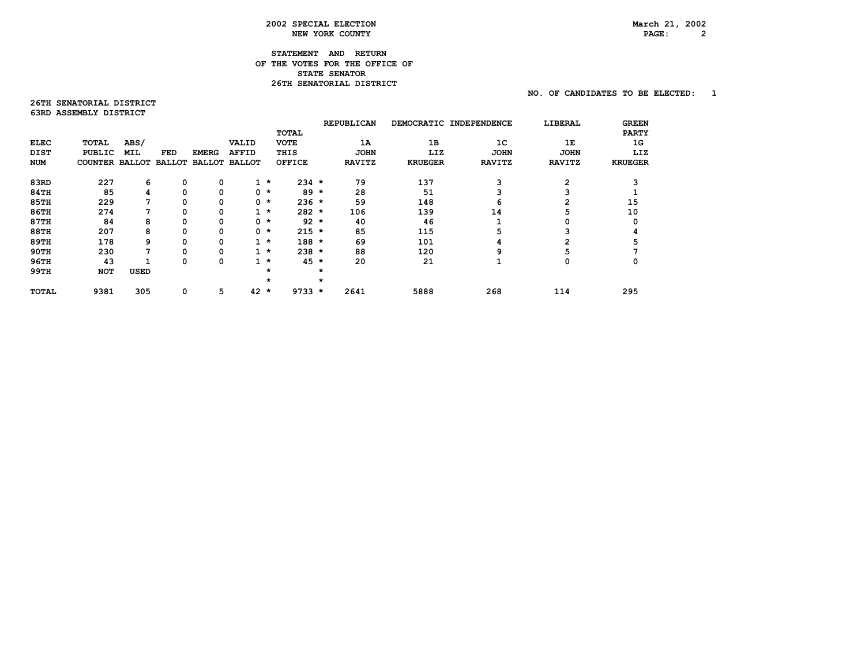# $PAGE: 2$

### **STATEMENT AND RETURN OF THE VOTES FOR THE OFFICE OF STATE SENATOR 26TH SENATORIAL DISTRICT**

### **NO. OF CANDIDATES TO BE ELECTED: 1**

**26TH SENATORIAL DISTRICT 63RD ASSEMBLY DISTRICT** 

|             |                       |             |          |              |                      |           |               |         | <b>REPUBLICAN</b> | <b>DEMOCRATIC</b> | INDEPENDENCE   | LIBERAL       | <b>GREEN</b>   |
|-------------|-----------------------|-------------|----------|--------------|----------------------|-----------|---------------|---------|-------------------|-------------------|----------------|---------------|----------------|
|             |                       |             |          |              |                      |           | TOTAL         |         |                   |                   |                |               | <b>PARTY</b>   |
| ELEC        | TOTAL                 | ABS/        |          |              | VALID                |           | <b>VOTE</b>   |         | 1A                | 1B                | 1 <sup>c</sup> | 1Е            | 1G             |
| DIST        | PUBLIC                | <b>MIL</b>  | FED      | <b>EMERG</b> | <b>AFFID</b>         |           | THIS          |         | <b>JOHN</b>       | LIZ               | <b>JOHN</b>    | <b>JOHN</b>   | LIZ            |
| <b>NUM</b>  | COUNTER BALLOT BALLOT |             |          |              | <b>BALLOT BALLOT</b> |           | <b>OFFICE</b> |         | <b>RAVITZ</b>     | <b>KRUEGER</b>    | <b>RAVITZ</b>  | <b>RAVITZ</b> | <b>KRUEGER</b> |
| 83RD        | 227                   | 6           | 0        | 0            |                      | $1 \star$ | $234 *$       |         | 79                | 137               | 3              | 2             |                |
| <b>84TH</b> | 85                    | 4           | 0        | 0            |                      | $0$ $*$   | $89 *$        |         | 28                | 51                | 3              | 3             |                |
| <b>85TH</b> | 229                   | 7           | O        | 0            |                      | $0$ $*$   | $236 *$       |         | 59                | 148               | 6              | 2             | 15             |
| 86TH        | 274                   | 7           | 0        | 0            |                      | $1 \star$ | $282 *$       |         | 106               | 139               | 14             | 5             | 10             |
| 87TH        | 84                    | 8           | $\Omega$ | 0            |                      | $0$ $*$   | $92 *$        |         | 40                | 46                |                | O             | 0              |
| 88TH        | 207                   | 8           | 0        | 0            |                      | $0$ $*$   | $215 *$       |         | 85                | 115               | 5              | 3             | 4              |
| 89TH        | 178                   | 9           | $\Omega$ | 0            |                      | $1 *$     | $188 *$       |         | 69                | 101               | 4              | 2             |                |
| 90TH        | 230                   | 7           | $\Omega$ | 0            |                      | $1 \star$ | $238 *$       |         | 88                | 120               | 9              |               |                |
| 96TH        | 43                    |             | $\Omega$ | 0            |                      | $1$ *     | $45 *$        |         | 20                | 21                |                | 0             |                |
| <b>99TH</b> | <b>NOT</b>            | <b>USED</b> |          |              |                      | *         |               | $\star$ |                   |                   |                |               |                |
|             |                       |             |          |              |                      | $\star$   |               | $\star$ |                   |                   |                |               |                |
| TOTAL       | 9381                  | 305         | 0        | 5            | 42                   | $\star$   | $9733 *$      |         | 2641              | 5888              | 268            | 114           | 295            |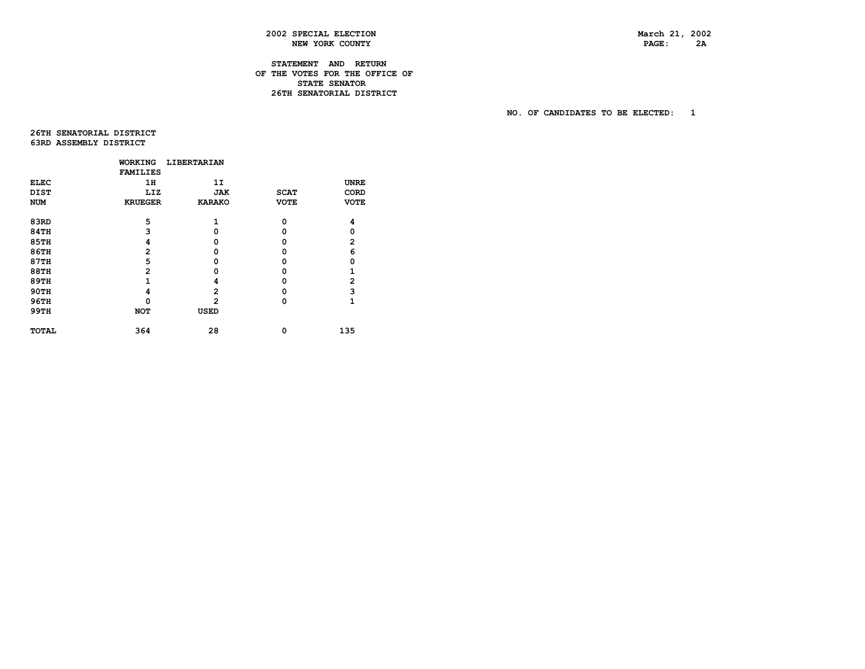PAGE: 2A

#### **2002 SPECIAL ELECTION March 21, 2002 NEW YORK COUNTY**

#### **STATEMENT AND RETURN OF THE VOTES FOR THE OFFICE OF STATE SENATOR 26TH SENATORIAL DISTRICT**

 **NO. OF CANDIDATES TO BE ELECTED: 1** 

 **26THSENATORIALDISTRICT 63RD ASSEMBLY DISTRICT** 

|             | WORKING         | LIBERTARIAN   |             |              |
|-------------|-----------------|---------------|-------------|--------------|
|             | <b>FAMILIES</b> |               |             |              |
| <b>ELEC</b> | 1H              | 1I            |             | <b>UNRE</b>  |
| <b>DIST</b> | LIZ             | <b>JAK</b>    | <b>SCAT</b> | CORD         |
| <b>NUM</b>  | <b>KRUEGER</b>  | <b>KARAKO</b> | <b>VOTE</b> | <b>VOTE</b>  |
| 83RD        | 5               | 1             | 0           | 4            |
| <b>84TH</b> | 3               | n             | o           | $\mathbf 0$  |
| <b>85TH</b> | 4               | ი             | O           | 2            |
| 86TH        | $\mathbf{2}$    | ŋ             | o           | 6            |
| 87TH        | 5               | n             | 0           | $\Omega$     |
| 88TH        | $\mathbf{2}$    | O             | o           | 1            |
| 89TH        | 1               | 4             | 0           | $\mathbf{2}$ |
| <b>90TH</b> | 4               | 2             | 0           | 3            |
| 96TH        | ŋ               | 2             | 0           | 1            |
| 99TH        | <b>NOT</b>      | USED          |             |              |
| TOTAL       | 364             | 28            | 0           | 135          |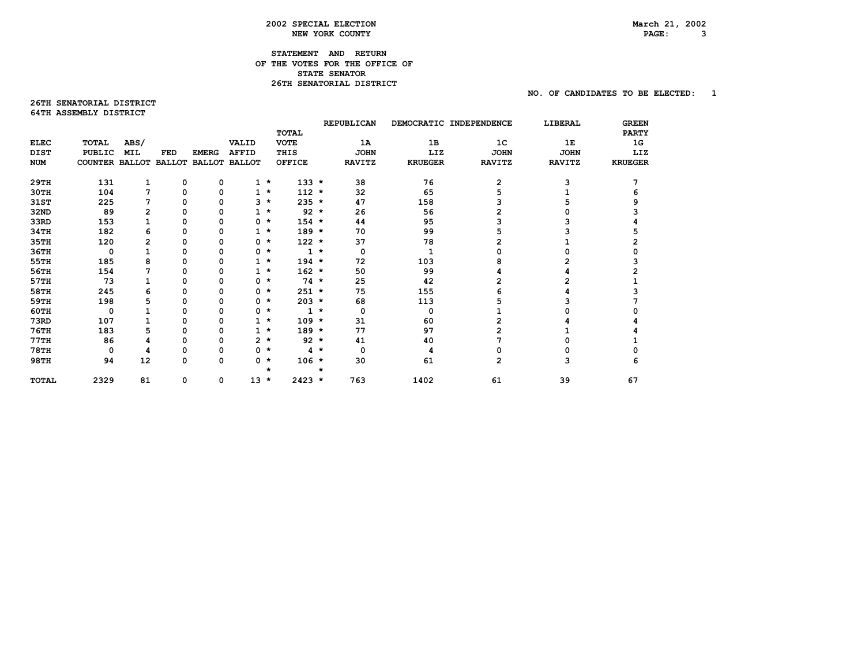#### **STATEMENT AND RETURN OF THE VOTES FOR THE OFFICE OF STATE SENATOR 26TH SENATORIAL DISTRICT**

**26TH SENATORIAL DISTRICT 64TH ASSEMBLY DISTRICT** 

|              |                |            |     |                      |              |                  | <b>TOTAL</b>  |         | REPUBLICAN    |                | DEMOCRATIC INDEPENDENCE | LIBERAL       | <b>GREEN</b><br><b>PARTY</b> |
|--------------|----------------|------------|-----|----------------------|--------------|------------------|---------------|---------|---------------|----------------|-------------------------|---------------|------------------------------|
| <b>ELEC</b>  | <b>TOTAL</b>   | ABS/       |     |                      | VALID        |                  | <b>VOTE</b>   |         | 1A            | 1B             | 1 <sup>c</sup>          | 1Е            | 1 <sub>G</sub>               |
| <b>DIST</b>  | PUBLIC         | <b>MIL</b> | FED | <b>EMERG</b>         | <b>AFFID</b> |                  | THIS          |         | <b>JOHN</b>   | LIZ            | <b>JOHN</b>             | <b>JOHN</b>   | LIZ                          |
| <b>NUM</b>   | COUNTER BALLOT |            |     | BALLOT BALLOT BALLOT |              |                  | <b>OFFICE</b> |         | <b>RAVITZ</b> | <b>KRUEGER</b> | <b>RAVITZ</b>           | <b>RAVITZ</b> | <b>KRUEGER</b>               |
| 29TH         | 131            | 1          | 0   | 0                    |              | $1 *$            | $133 *$       |         | 38            | 76             | $\mathbf{2}$            |               |                              |
| 30TH         | 104            | 7          | 0   | 0                    |              | $1 *$            | $112 *$       |         | 32            | 65             |                         |               |                              |
| 31ST         | 225            | 7          | 0   | 0                    | 3            | $\star$          | $235 *$       |         | 47            | 158            |                         |               |                              |
| 32ND         | 89             | 2          | 0   | 0                    |              | $1 *$            | $92 *$        |         | 26            | 56             |                         |               |                              |
| 33RD         | 153            |            | 0   | 0                    | 0            | *                | $154 *$       |         | 44            | 95             |                         |               |                              |
| 34TH         | 182            | 6          | 0   | 0                    |              | $1 *$            | $189 *$       |         | 70            | 99             |                         |               |                              |
| 35TH         | 120            | 2          | 0   | 0                    |              | $0 *$            | $122 *$       |         | 37            | 78             | 2                       |               |                              |
| 36TH         | 0              |            | 0   | $\mathbf 0$          | 0            | *                | $1 \star$     |         | $\mathbf 0$   |                |                         |               |                              |
| 55TH         | 185            | 8          | 0   | 0                    |              | $1 *$            | $194 *$       |         | 72            | 103            |                         |               |                              |
| 56TH         | 154            | 7          | 0   | 0                    |              | $1 *$            | $162 *$       |         | 50            | 99             |                         |               |                              |
| 57TH         | 73             |            | 0   | O                    |              | $0 *$            | $74 *$        |         | 25            | 42             |                         |               |                              |
| 58TH         | 245            | 6          | 0   | 0                    |              | $0 *$            | $251 *$       |         | 75            | 155            |                         |               |                              |
| 59TH         | 198            | 5          | 0   | 0                    |              | $0 *$            | $203 *$       |         | 68            | 113            |                         |               |                              |
| 60TH         | 0              |            | 0   | 0                    | 0            | *                | $1 \star$     |         | 0             | 0              |                         |               |                              |
| 73RD         | 107            |            | 0   | 0                    |              | $1 *$            | $109 *$       |         | 31            | 60             |                         |               |                              |
| 76TH         | 183            | 5          | 0   | 0                    |              | $1 *$            | $189 *$       |         | 77            | 97             |                         |               |                              |
| $77$ TH      | 86             | 4          | 0   | 0                    |              | $2 *$            | $92 *$        |         | 41            | 40             |                         |               |                              |
| <b>78TH</b>  | 0              | 4          | 0   | 0                    |              | $0 *$            | $4 *$         |         | 0             | 4              |                         |               |                              |
| 98TH         | 94             | 12         | 0   | $\mathbf 0$          |              | $0 *$<br>$\star$ | $106 *$       | $\star$ | 30            | 61             | 2                       | 3             |                              |
| <b>TOTAL</b> | 2329           | 81         | 0   | 0                    | $13 *$       |                  | $2423 *$      |         | 763           | 1402           | 61                      | 39            | 67                           |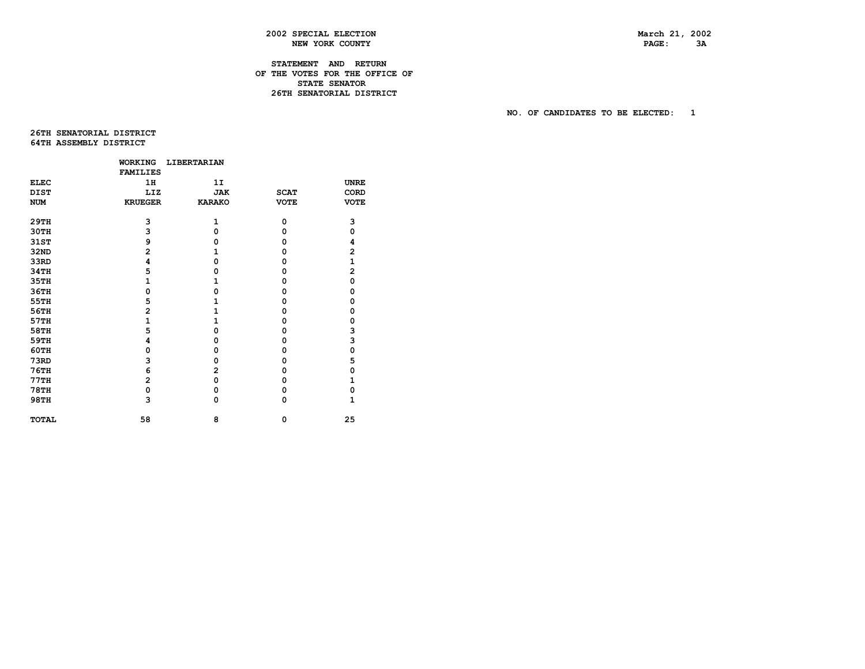PAGE: 3A

#### **2002 SPECIAL ELECTION March 21, 2002 NEW YORK COUNTY**

### **STATEMENT AND RETURN OF THE VOTES FOR THE OFFICE OF STATE SENATOR 26TH SENATORIAL DISTRICT**

 **NO. OF CANDIDATES TO BE ELECTED: 1** 

 **26THSENATORIALDISTRICT 64TH ASSEMBLY DISTRICT** 

|              | WORKING         | LIBERTARIAN   |             |                |
|--------------|-----------------|---------------|-------------|----------------|
|              | <b>FAMILIES</b> |               |             |                |
| <b>ELEC</b>  | 1H              | 1I            |             | <b>UNRE</b>    |
| <b>DIST</b>  | LIZ             | <b>JAK</b>    | <b>SCAT</b> | CORD           |
| <b>NUM</b>   | <b>KRUEGER</b>  | <b>KARAKO</b> | <b>VOTE</b> | <b>VOTE</b>    |
|              |                 |               |             |                |
| 29TH         | 3               | 1             | 0           | 3              |
| 30TH         | 3               | $\Omega$      | 0           | 0              |
| 31ST         | 9               | 0             | $\Omega$    | 4              |
| 32ND         | $\overline{2}$  | 1             | 0           | $\overline{a}$ |
| 33RD         | 4               | o             | O           | 1              |
| 34TH         | 5               | 0             | 0           | $\overline{a}$ |
| 35TH         | 1               | 1             | $\Omega$    | $\Omega$       |
| 36TH         | 0               | 0             | 0           | 0              |
| 55TH         | 5               | 1             | 0           | 0              |
| 56TH         | $\overline{a}$  | 1             | 0           | 0              |
| 57TH         | $\mathbf{1}$    | 1             | 0           | 0              |
| 58TH         | 5               | $\Omega$      | 0           | 3              |
| 59TH         | 4               | $\Omega$      | 0           | 3              |
| 60TH         | 0               | 0             | 0           | 0              |
| 73RD         | 3               | 0             | 0           | 5              |
| 76TH         | 6               | 2             | 0           | 0              |
| 77TH         | $\overline{2}$  | 0             | 0           | 1              |
| <b>78TH</b>  | 0               | 0             | 0           | 0              |
| 98TH         | 3               | 0             | 0           | $\mathbf{1}$   |
|              |                 |               |             |                |
| <b>TOTAL</b> | 58              | 8             | 0           | 25             |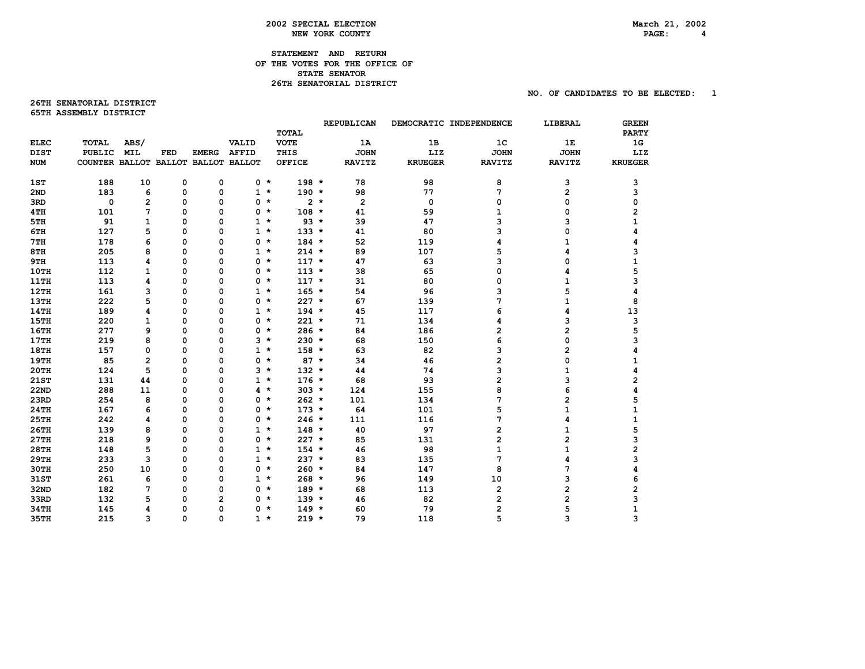#### **STATEMENT AND RETURN OF THE VOTES FOR THE OFFICE OF STATE SENATOR 26TH SENATORIAL DISTRICT**

**26TH SENATORIAL DISTRICT 65TH ASSEMBLY DISTRICT** 

|             |                                     |                         |             |                |              |         | <b>TOTAL</b>  |       | REPUBLICAN    |                | DEMOCRATIC INDEPENDENCE | LIBERAL        | <b>GREEN</b><br><b>PARTY</b> |
|-------------|-------------------------------------|-------------------------|-------------|----------------|--------------|---------|---------------|-------|---------------|----------------|-------------------------|----------------|------------------------------|
| <b>ELEC</b> | TOTAL                               | ABS/                    |             |                | VALID        |         | <b>VOTE</b>   |       | 1A            | 1B             | 1 <sup>c</sup>          | 1E             | 1G                           |
| <b>DIST</b> | PUBLIC                              | <b>MIL</b>              | FED         | <b>EMERG</b>   | <b>AFFID</b> |         | THIS          |       | <b>JOHN</b>   | LIZ            | <b>JOHN</b>             | <b>JOHN</b>    | LIZ                          |
| <b>NUM</b>  | COUNTER BALLOT BALLOT BALLOT BALLOT |                         |             |                |              |         | <b>OFFICE</b> |       | <b>RAVITZ</b> | <b>KRUEGER</b> | <b>RAVITZ</b>           | <b>RAVITZ</b>  | <b>KRUEGER</b>               |
| 1ST         | 188                                 | 10                      | 0           | 0              | $0 *$        |         | $198 *$       |       | 78            | 98             | 8                       | 3              | 3                            |
| 2ND         | 183                                 | 6                       | 0           | 0              | $1 *$        |         | $190 *$       |       | 98            | 77             | 7                       | 2              | з                            |
| 3RD         | 0                                   | $\mathbf{2}$            | 0           | 0              | 0            | $\star$ |               | $2 *$ | 2             | 0              | 0                       | 0              | 0                            |
| 4TH         | 101                                 | 7                       | 0           | 0              | 0            | $\star$ | $108 *$       |       | 41            | 59             | 1                       | 0              | $\overline{\mathbf{2}}$      |
| 5TH         | 91                                  | $\mathbf{1}$            | $\mathbf 0$ | 0              | $\mathbf{1}$ | $\star$ | $93 *$        |       | 39            | 47             | 3                       | 3              | $\mathbf{1}$                 |
| 6TH         | 127                                 | 5                       | $\mathbf 0$ | 0              | $\mathbf{1}$ | $\star$ | $133 *$       |       | 41            | 80             | 3                       | 0              | 4                            |
| 7TH         | 178                                 | 6                       | $\mathbf 0$ | 0              | 0            | $\star$ | $184 *$       |       | 52            | 119            | 4                       | 1              | 4                            |
| 8TH         | 205                                 | 8                       | $\Omega$    | 0              | $\mathbf{1}$ | $\star$ | $214 *$       |       | 89            | 107            | 5                       | 4              | 3                            |
| 9TH         | 113                                 | 4                       | 0           | 0              | 0            | $\star$ | $117 *$       |       | 47            | 63             | 3                       | 0              | $\mathbf{1}$                 |
| 10TH        | 112                                 | 1                       | $\mathbf 0$ | 0              | 0            | $\star$ | $113 *$       |       | 38            | 65             | 0                       | 4              | 5                            |
| 11TH        | 113                                 | 4                       | $\mathbf 0$ | 0              | 0            | $\star$ | $117 *$       |       | 31            | 80             | 0                       | 1              | 3                            |
| 12TH        | 161                                 | 3                       | $\mathbf 0$ | 0              | $\mathbf{1}$ | $\star$ | $165 *$       |       | 54            | 96             | 3                       | 5              | 4                            |
| 13TH        | 222                                 | 5                       | $\mathbf 0$ | 0              | 0            | $\star$ | $227 *$       |       | 67            | 139            | 7                       | 1              | 8                            |
| <b>14TH</b> | 189                                 | 4                       | 0           | 0              | $1 *$        |         | $194 *$       |       | 45            | 117            | 6                       | 4              | 13                           |
| <b>15TH</b> | 220                                 | 1                       | 0           | 0              | 0            | $\star$ | $221 *$       |       | 71            | 134            | 4                       | з              | 3                            |
| <b>16TH</b> | 277                                 | 9                       | $\mathbf 0$ | 0              | 0            | $\star$ | $286 *$       |       | 84            | 186            | 2                       | 2              | 5                            |
| 17TH        | 219                                 | 8                       | $\Omega$    | 0              | 3            | $\star$ | $230 *$       |       | 68            | 150            | 6                       | 0              | з                            |
| <b>18TH</b> | 157                                 | $\mathbf 0$             | $\mathbf 0$ | 0              | $\mathbf{1}$ | $\star$ | $158 *$       |       | 63            | 82             | 3                       | 2              | 4                            |
| 19TH        | 85                                  | $\overline{\mathbf{2}}$ | $\mathbf 0$ | 0              | 0            | $\star$ | $87 *$        |       | 34            | 46             | 2                       | 0              | $\mathbf{1}$                 |
| 20TH        | 124                                 | 5                       | $\mathbf 0$ | 0              | 3            | $\star$ | $132 *$       |       | 44            | 74             | 3                       | 1              | 4                            |
| 21ST        | 131                                 | 44                      | $\mathbf 0$ | 0              | $1 *$        |         | $176 *$       |       | 68            | 93             | 2                       | з              | 2                            |
| <b>22ND</b> | 288                                 | 11                      | $\Omega$    | 0              | 4            | $\star$ | $303 *$       |       | 124           | 155            | 8                       | 6              | 4                            |
| 23RD        | 254                                 | 8                       | $\Omega$    | 0              | 0            | $\star$ | $262 *$       |       | 101           | 134            | 7                       | 2              | 5                            |
| 24TH        | 167                                 | 6                       | $\Omega$    | 0              | 0            | $\star$ | $173 *$       |       | 64            | 101            | 5                       | 1              | $\mathbf{1}$                 |
| <b>25TH</b> | 242                                 | 4                       | $\mathbf 0$ | 0              | 0            | $\star$ | $246 *$       |       | 111           | 116            | 7                       | 4              | $\mathbf{1}$                 |
| 26TH        | 139                                 | 8                       | $\mathbf 0$ | 0              | $\mathbf{1}$ | $\star$ | $148 *$       |       | 40            | 97             | 2                       | 1              | 5                            |
| 27TH        | 218                                 | 9                       | $\mathbf 0$ | 0              | 0            | $\star$ | $227 *$       |       | 85            | 131            | $\overline{2}$          | $\overline{2}$ | 3                            |
| <b>28TH</b> | 148                                 | 5                       | $\Omega$    | 0              | $\mathbf{1}$ | $\star$ | $154 *$       |       | 46            | 98             | $\mathbf{1}$            | $\mathbf{1}$   | $\mathbf{2}$                 |
| <b>29TH</b> | 233                                 | 3                       | $\Omega$    | 0              | $\mathbf{1}$ | $\star$ | $237 *$       |       | 83            | 135            | 7                       | 4              | 3                            |
| 30TH        | 250                                 | 10                      | $\mathbf 0$ | 0              | 0            | $\star$ | $260 *$       |       | 84            | 147            | 8                       | 7              | 4                            |
| 31ST        | 261                                 | 6                       | $\Omega$    | 0              | $1 *$        |         | $268 *$       |       | 96            | 149            | 10                      | 3              | 6                            |
| <b>32ND</b> | 182                                 | 7                       | 0           | 0              | 0            | $\star$ | $189 *$       |       | 68            | 113            | $\mathbf{2}$            | 2              | 2                            |
| 33RD        | 132                                 | 5                       | $\mathbf 0$ | $\overline{2}$ | 0            | $\star$ | $139 *$       |       | 46            | 82             | $\overline{\mathbf{c}}$ | 2              | 3                            |
| 34TH        | 145                                 | 4                       | $\Omega$    | 0              | 0            | $\star$ | $149 *$       |       | 60            | 79             | $\overline{\mathbf{c}}$ | 5              | $\mathbf{1}$                 |
| 35TH        | 215                                 | 3                       | $\Omega$    | 0              | $1 *$        |         | $219 *$       |       | 79            | 118            | 5                       | 3              | 3                            |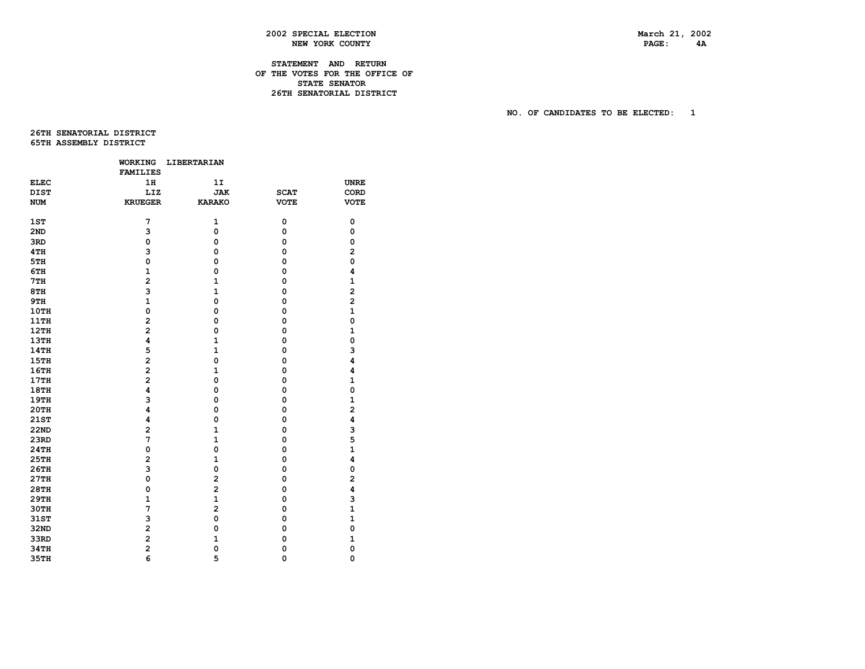PAGE: 4A

#### **2002 SPECIAL ELECTION March 21, 2002 NEW YORK COUNTY**

### **STATEMENT AND RETURN OF THE VOTES FOR THE OFFICE OF STATE SENATOR 26TH SENATORIAL DISTRICT**

 **NO. OF CANDIDATES TO BE ELECTED: 1** 

#### **26THSENATORIALDISTRICT 65TH ASSEMBLY DISTRICT**

|                 | WORKING                 | LIBERTARIAN    |             |                |
|-----------------|-------------------------|----------------|-------------|----------------|
|                 | <b>FAMILIES</b>         |                |             |                |
| <b>ELEC</b>     | 1H                      | 1 <sub>I</sub> |             | <b>UNRE</b>    |
| <b>DIST</b>     | LIZ                     | <b>JAK</b>     | <b>SCAT</b> | CORD           |
| <b>NUM</b>      | <b>KRUEGER</b>          | <b>KARAKO</b>  | <b>VOTE</b> | <b>VOTE</b>    |
|                 |                         |                |             |                |
| 1ST             | 7                       | $\mathbf 1$    | 0           | 0              |
| 2 <sub>ND</sub> | 3                       | 0              | 0           | 0              |
| 3RD             | 0                       | 0              | 0           | 0              |
| 4TH             | 3                       | 0              | 0           | 2              |
| 5TH             | $\mathbf 0$             | 0              | 0           | 0              |
| 6TH             | $\mathbf{1}$            | 0              | 0           | 4              |
| 7TH             | $\overline{\mathbf{c}}$ | $\mathbf{1}$   | 0           | $\mathbf{1}$   |
| 8TH             | 3                       | $\mathbf{1}$   | 0           | 2              |
| 9TH             | $\mathbf{1}$            | $\mathbf 0$    | 0           | $\overline{a}$ |
| 10TH            | 0                       | 0              | 0           | $\mathbf{1}$   |
| <b>11TH</b>     | $\overline{\mathbf{c}}$ | 0              | 0           | 0              |
| 12TH            | $\overline{a}$          | 0              | 0           | $\mathbf{1}$   |
| <b>13TH</b>     | 4                       | $\mathbf{1}$   | 0           | 0              |
| 14TH            | 5                       | $\mathbf{1}$   | 0           | 3              |
| 15TH            | $\overline{a}$          | 0              | 0           | 4              |
| <b>16TH</b>     | $\overline{\mathbf{c}}$ | $\mathbf{1}$   | 0           | 4              |
| 17TH            | $\overline{2}$          | 0              | 0           | $\mathbf{1}$   |
| <b>18TH</b>     | 4                       | 0              | 0           | 0              |
| <b>19TH</b>     | 3                       | 0              | 0           | $\mathbf 1$    |
| <b>20TH</b>     | 4                       | 0              | 0           | 2              |
| <b>21ST</b>     | 4                       | 0              | 0           | 4              |
| <b>22ND</b>     | $\overline{\mathbf{c}}$ | $\mathbf{1}$   | 0           | 3              |
| 23RD            | 7                       | $\mathbf{1}$   | 0           | 5              |
| 24TH            | $\mathbf 0$             | 0              | 0           | $\mathbf{1}$   |
| 25TH            | $\overline{\mathbf{c}}$ | $\mathbf{1}$   | 0           | 4              |
| 26TH            | 3                       | 0              | 0           | 0              |
| 27TH            | 0                       | $\overline{a}$ | 0           | 2              |
| <b>28TH</b>     | 0                       | $\overline{a}$ | 0           | 4              |
| 29TH            | $\mathbf{1}$            | 1              | 0           | 3              |
| 30TH            | 7                       | $\overline{a}$ | 0           | $\mathbf{1}$   |
| 31ST            | 3                       | 0              | 0           | $\mathbf{1}$   |
| 32ND            | $\overline{\mathbf{c}}$ | 0              | 0           | 0              |
| 33RD            | 2                       | $\mathbf{1}$   | 0           | $\mathbf{1}$   |
| 34TH            | $\overline{\mathbf{c}}$ | 0              | 0           | 0              |
| 35TH            | 6                       | 5              | 0           | $\mathbf 0$    |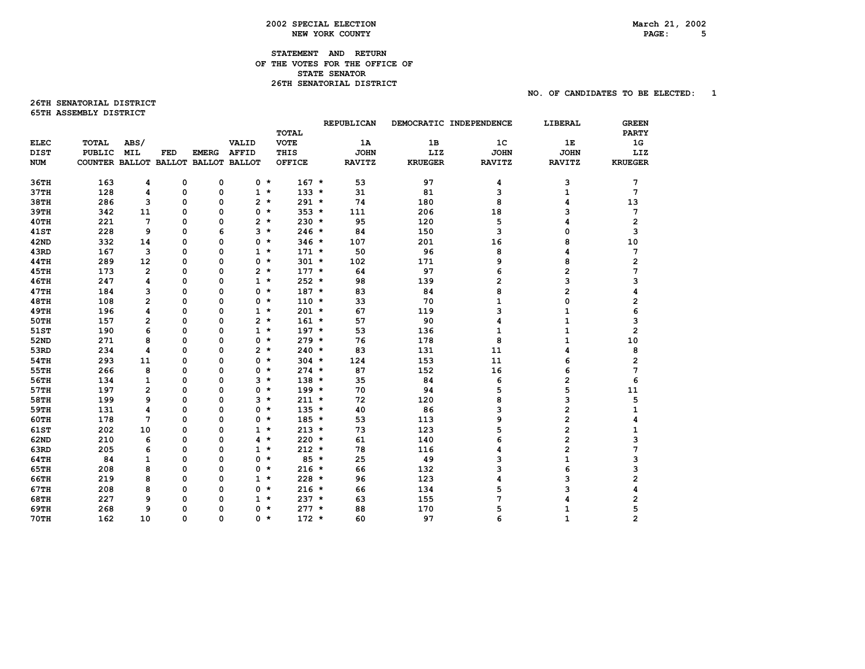#### **STATEMENT AND RETURN OF THE VOTES FOR THE OFFICE OF STATE SENATOR 26TH SENATORIAL DISTRICT**

**26TH SENATORIAL DISTRICT 65TH ASSEMBLY DISTRICT** 

|             |                                     |                   |             |              |                |         | <b>TOTAL</b> | <b>REPUBLICAN</b> |                | DEMOCRATIC INDEPENDENCE | LIBERAL                 | <b>GREEN</b><br><b>PARTY</b> |
|-------------|-------------------------------------|-------------------|-------------|--------------|----------------|---------|--------------|-------------------|----------------|-------------------------|-------------------------|------------------------------|
| <b>ELEC</b> | <b>TOTAL</b>                        | ABS/              |             |              | VALID          |         | <b>VOTE</b>  | 1A                | 1B             | 1 <sub>C</sub>          | 1E                      | 1G                           |
| <b>DIST</b> | <b>PUBLIC</b>                       | <b>MIL</b>        | FED         | <b>EMERG</b> | <b>AFFID</b>   | THIS    |              | <b>JOHN</b>       | LIZ            | <b>JOHN</b>             | <b>JOHN</b>             | LIZ                          |
| <b>NUM</b>  | COUNTER BALLOT BALLOT BALLOT BALLOT |                   |             |              |                |         | OFFICE       | <b>RAVITZ</b>     | <b>KRUEGER</b> | <b>RAVITZ</b>           | <b>RAVITZ</b>           | <b>KRUEGER</b>               |
| 36TH        | 163                                 | 4                 | $\mathbf 0$ | $\mathbf 0$  | $0 *$          |         | $167 *$      | 53                | 97             | 4                       | 3                       | 7                            |
| 37TH        | 128                                 | 4                 | $\mathbf 0$ | 0            | $\mathbf{1}$   | $\star$ | $133 *$      | 31                | 81             | 3                       | $\mathbf{1}$            | 7                            |
| <b>38TH</b> | 286                                 | 3                 | $\mathbf 0$ | 0            | 2              | $\star$ | $291 *$      | 74                | 180            | 8                       | 4                       | 13                           |
| 39TH        | 342                                 | 11                | $\Omega$    | 0            | 0              | $\star$ | $353 *$      | 111               | 206            | 18                      | 3                       | 7                            |
| <b>40TH</b> | 221                                 | $\overline{7}$    | 0           | 0            | 2              | $\star$ | $230 *$      | 95                | 120            | 5                       | 4                       | $\overline{\mathbf{c}}$      |
| <b>41ST</b> | 228                                 | 9                 | $\Omega$    | 6            | 3              | $\star$ | $246 *$      | 84                | 150            | 3                       | 0                       | 3                            |
| 42ND        | 332                                 | 14                | $\mathbf 0$ | 0            | 0              | $\star$ | $346 *$      | 107               | 201            | 16                      | 8                       | 10                           |
| 43RD        | 167                                 | 3                 | $\mathbf 0$ | 0            | $\mathbf{1}$   | $\star$ | $171 *$      | 50                | 96             | 8                       | 4                       | 7                            |
| <b>44TH</b> | 289                                 | $12 \overline{ }$ | $\Omega$    | 0            | 0              | $\star$ | $301 *$      | 102               | 171            | 9                       | 8                       | 2                            |
| <b>45TH</b> | 173                                 | $\mathbf{2}$      | 0           | 0            | $\overline{2}$ | $\star$ | $177 *$      | 64                | 97             | 6                       | 2                       | 7                            |
| <b>46TH</b> | 247                                 | 4                 | $\Omega$    | 0            | $1 *$          |         | $252 *$      | 98                | 139            | 2                       | 3                       | з                            |
| <b>47TH</b> | 184                                 | 3                 | 0           | 0            | 0              | $\star$ | $187 *$      | 83                | 84             | 8                       | $\overline{\mathbf{c}}$ | 4                            |
| <b>48TH</b> | 108                                 | $\mathbf{2}$      | $\mathbf 0$ | 0            | 0              | $\star$ | $110 *$      | 33                | 70             | 1                       | 0                       | 2                            |
| <b>49TH</b> | 196                                 | 4                 | $\mathbf 0$ | 0            | $\mathbf{1}$   | $\star$ | $201 *$      | 67                | 119            | 3                       | $\mathbf{1}$            | 6                            |
| <b>50TH</b> | 157                                 | 2                 | $\mathbf 0$ | 0            | $\overline{2}$ | $\star$ | $161 *$      | 57                | 90             | 4                       | 1                       | з                            |
| 51ST        | 190                                 | 6                 | 0           | 0            | $\mathbf{1}$   | $\star$ | $197 *$      | 53                | 136            | 1                       | 1                       | $\overline{\mathbf{c}}$      |
| 52ND        | 271                                 | 8                 | 0           | 0            | 0              | $\star$ | $279 *$      | 76                | 178            | 8                       | 1                       | 10                           |
| 53RD        | 234                                 | 4                 | $\Omega$    | 0            | 2              | $\star$ | $240 *$      | 83                | 131            | 11                      | 4                       | 8                            |
| 54TH        | 293                                 | 11                | $\mathbf 0$ | 0            | 0              | $\star$ | $304 *$      | 124               | 153            | 11                      | 6                       | 2                            |
| 55TH        | 266                                 | 8                 | $\mathbf 0$ | 0            | 0              | $\star$ | $274 *$      | 87                | 152            | 16                      | 6                       | 7                            |
| 56TH        | 134                                 | 1                 | $\Omega$    | 0            | $3*$           |         | $138 *$      | 35                | 84             | 6                       | 2                       | 6                            |
| 57TH        | 197                                 | 2                 | 0           | 0            | 0              | $\star$ | $199 *$      | 70                | 94             | 5                       | 5                       | 11                           |
| <b>58TH</b> | 199                                 | 9                 | 0           | 0            | 3              | $\star$ | $211 *$      | 72                | 120            | 8                       | 3                       | 5                            |
| 59TH        | 131                                 | 4                 | $\mathbf 0$ | 0            | 0              | $\star$ | $135 *$      | 40                | 86             | 3                       | $\overline{\mathbf{c}}$ | $\mathbf{1}$                 |
| <b>60TH</b> | 178                                 | 7                 | $\mathbf 0$ | 0            | 0 *            |         | $185 *$      | 53                | 113            | 9                       | 2                       | 4                            |
| <b>61ST</b> | 202                                 | 10                | 0           | 0            | $1 *$          |         | $213 *$      | 73                | 123            | 5                       | 2                       | $\mathbf 1$                  |
| 62ND        | 210                                 | 6                 | 0           | 0            | 4              | $\star$ | $220 *$      | 61                | 140            | 6                       | 2                       | з                            |
| 63RD        | 205                                 | 6                 | 0           | 0            | $1 *$          |         | $212 *$      | 78                | 116            | 4                       | 2                       | 7                            |
| 64TH        | 84                                  | 1                 | 0           | 0            | 0              | $\star$ | $85 *$       | 25                | 49             | 3                       | $\mathbf 1$             | з                            |
| 65TH        | 208                                 | 8                 | $\mathbf 0$ | 0            | 0              | $\star$ | $216 *$      | 66                | 132            | 3                       | 6                       | з                            |
| 66TH        | 219                                 | 8                 | $\mathbf 0$ | 0            | $\mathbf{1}$   | $\star$ | $228 *$      | 96                | 123            | 4                       | 3                       | 2                            |
| <b>67TH</b> | 208                                 | 8                 | $\mathbf 0$ | 0            | 0              | $\star$ | $216 *$      | 66                | 134            | 5                       | з                       | 4                            |
| <b>68TH</b> | 227                                 | 9                 | $\mathbf 0$ | 0            | $1 \star$      |         | $237 *$      | 63                | 155            | 7                       | 4                       | 2                            |
| 69TH        | 268                                 | 9                 | $\mathbf 0$ | 0            | 0              | $\star$ | $277 *$      | 88                | 170            | 5                       | 1                       | 5                            |
| <b>70TH</b> | 162                                 | 10                | $\Omega$    | 0            | 0 *            |         | $172 *$      | 60                | 97             | 6                       | $\mathbf{1}$            | $\overline{2}$               |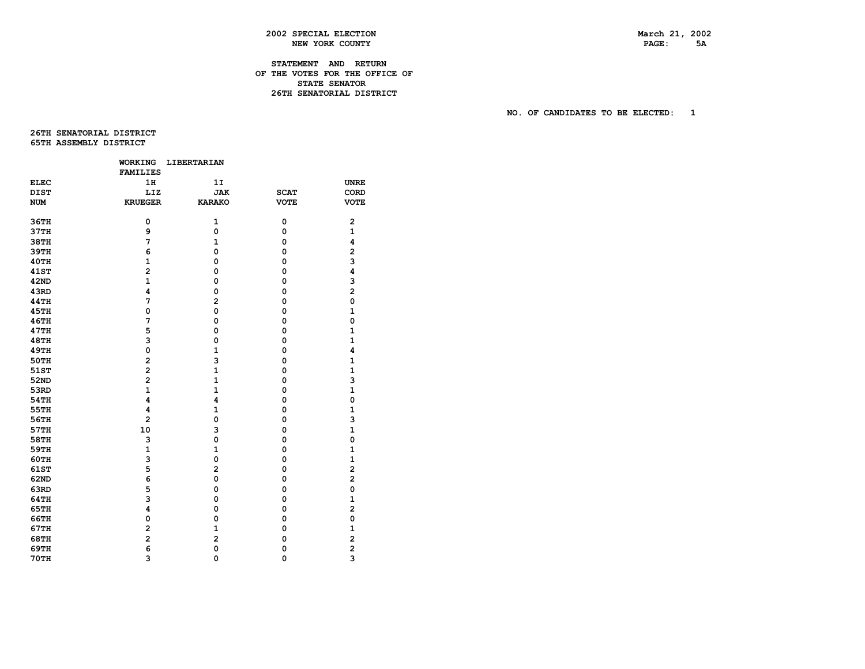PAGE: 5A

#### **2002 SPECIAL ELECTION March 21, 2002 NEW YORK COUNTY**

### **STATEMENT AND RETURN OF THE VOTES FOR THE OFFICE OF STATE SENATOR 26TH SENATORIAL DISTRICT**

 **NO. OF CANDIDATES TO BE ELECTED: 1** 

#### **26THSENATORIALDISTRICT 65TH ASSEMBLY DISTRICT**

|             | WORKING                 | LIBERTARIAN    |             |                         |
|-------------|-------------------------|----------------|-------------|-------------------------|
|             | <b>FAMILIES</b>         |                |             |                         |
| <b>ELEC</b> | 1H                      | 1 <sub>I</sub> |             | <b>UNRE</b>             |
| <b>DIST</b> | LIZ                     | <b>JAK</b>     | <b>SCAT</b> | CORD                    |
| <b>NUM</b>  | <b>KRUEGER</b>          | <b>KARAKO</b>  | <b>VOTE</b> | <b>VOTE</b>             |
|             |                         |                |             |                         |
| 36TH        | 0                       | $\mathbf{1}$   | 0           | 2                       |
| 37TH        | 9                       | 0              | 0           | $\mathbf{1}$            |
| 38TH        | 7                       | $\mathbf{1}$   | 0           | 4                       |
| 39TH        | 6                       | 0              | 0           | $\overline{\mathbf{c}}$ |
| <b>40TH</b> | $\mathbf{1}$            | 0              | 0           | з                       |
| <b>41ST</b> | $\overline{\mathbf{c}}$ | 0              | 0           | 4                       |
| 42ND        | $\mathbf{1}$            | 0              | 0           | 3                       |
| 43RD        | 4                       | 0              | 0           | $\overline{\mathbf{c}}$ |
| <b>44TH</b> | 7                       | $\overline{a}$ | 0           | 0                       |
| 45TH        | 0                       | 0              | 0           | $\mathbf{1}$            |
| 46TH        | 7                       | 0              | 0           | 0                       |
| 47TH        | 5                       | 0              | 0           | $\mathbf{1}$            |
| <b>48TH</b> | 3                       | 0              | 0           | $\mathbf{1}$            |
| <b>49TH</b> | $\mathbf 0$             | $\mathbf{1}$   | 0           | 4                       |
| <b>50TH</b> | $\overline{\mathbf{c}}$ | 3              | 0           | $\mathbf{1}$            |
| 51ST        | $\overline{\mathbf{c}}$ | $\mathbf{1}$   | 0           | $\mathbf{1}$            |
| 52ND        | $\overline{2}$          | $\mathbf{1}$   | 0           | 3                       |
| 53RD        | $\mathbf{1}$            | $\mathbf{1}$   | 0           | $\mathbf{1}$            |
| <b>54TH</b> | 4                       | 4              | 0           | 0                       |
| 55TH        | 4                       | $\mathbf{1}$   | 0           | 1                       |
| 56TH        | $\overline{2}$          | 0              | 0           | 3                       |
| 57TH        | 10                      | 3              | 0           | $\mathbf{1}$            |
| 58TH        | 3                       | 0              | 0           | 0                       |
| 59TH        | $\mathbf{1}$            | $\mathbf{1}$   | 0           | $\mathbf{1}$            |
| <b>60TH</b> | 3                       | 0              | 0           | $\mathbf{1}$            |
| <b>61ST</b> | 5                       | $\overline{a}$ | 0           | 2                       |
| 62ND        | 6                       | 0              | 0           | $\mathbf 2$             |
| 63RD        | 5                       | 0              | 0           | 0                       |
| 64TH        | 3                       | 0              | 0           | 1                       |
| 65TH        | 4                       | 0              | 0           | $\overline{2}$          |
| 66TH        | 0                       | 0              | 0           | 0                       |
| 67TH        | $\overline{\mathbf{c}}$ | $\mathbf{1}$   | 0           | $\mathbf{1}$            |
| 68TH        | $\overline{a}$          | $\overline{a}$ | 0           | 2                       |
| 69TH        | 6                       | 0              | 0           | $\overline{a}$          |
| <b>70TH</b> | 3                       | $\mathbf 0$    | 0           | 3                       |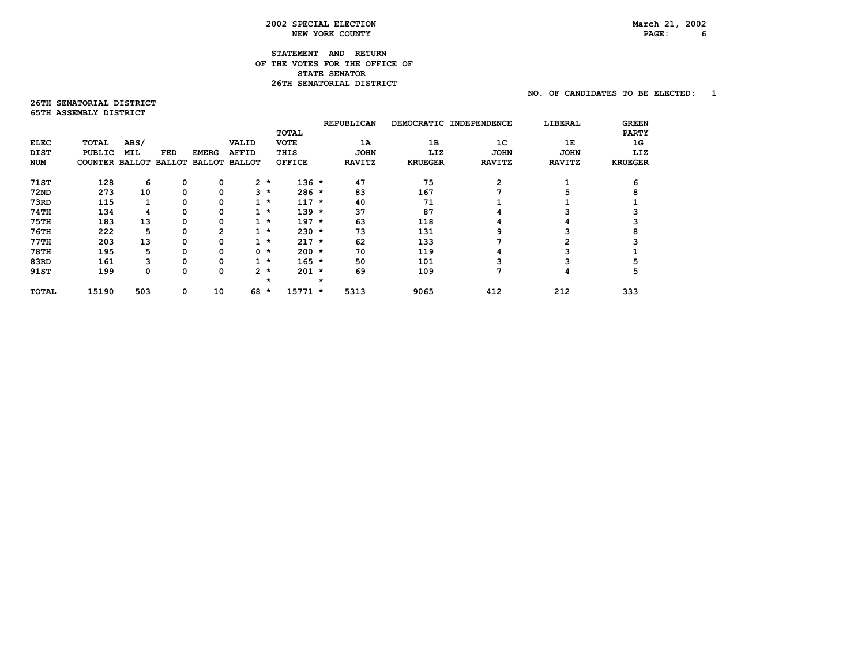# PAGE: 6

### **STATEMENT AND RETURN OF THE VOTES FOR THE OFFICE OF STATE SENATOR 26TH SENATORIAL DISTRICT**

### **NO. OF CANDIDATES TO BE ELECTED: 1**

**26TH SENATORIAL DISTRICT 65TH ASSEMBLY DISTRICT** 

|             |                |            |               |                |                      |                  |               |         | <b>REPUBLICAN</b> | <b>DEMOCRATIC</b> | <b>INDEPENDENCE</b> | LIBERAL       | <b>GREEN</b>   |
|-------------|----------------|------------|---------------|----------------|----------------------|------------------|---------------|---------|-------------------|-------------------|---------------------|---------------|----------------|
|             |                |            |               |                |                      |                  | TOTAL         |         |                   |                   |                     |               | <b>PARTY</b>   |
| <b>ELEC</b> | TOTAL          | ABS/       |               |                | VALID                |                  | <b>VOTE</b>   |         | 1A                | 1B                | 1 <sup>c</sup>      | 1Е            | 1G             |
| DIST        | PUBLIC         | <b>MIL</b> | FED           | EMERG          | AFFID                |                  | THIS          |         | <b>JOHN</b>       | LIZ               | <b>JOHN</b>         | <b>JOHN</b>   | LIZ            |
| <b>NUM</b>  | COUNTER BALLOT |            | <b>BALLOT</b> |                | <b>BALLOT BALLOT</b> |                  | <b>OFFICE</b> |         | <b>RAVITZ</b>     | <b>KRUEGER</b>    | <b>RAVITZ</b>       | <b>RAVITZ</b> | <b>KRUEGER</b> |
| 71ST        | 128            | 6          | 0             | 0              |                      | $2 *$            | $136 *$       |         | 47                | 75                | 2                   |               | 6              |
| <b>72ND</b> | 273            | 10         | 0             | 0              |                      | $3*$             | $286 *$       |         | 83                | 167               |                     |               |                |
| 73RD        | 115            |            | $\Omega$      | 0              |                      | $1$ *            | $117 *$       |         | 40                | 71                |                     |               |                |
| <b>74TH</b> | 134            | 4          | 0             | 0              |                      | $1$ *            | $139 *$       |         | 37                | 87                | 4                   |               |                |
| <b>75TH</b> | 183            | 13         | $\Omega$      | 0              |                      | $1$ *            | $197 *$       |         | 63                | 118               | 4                   |               |                |
| <b>76TH</b> | 222            | 5          |               | $\overline{2}$ |                      | $1 \star$        | $230 *$       |         | 73                | 131               | 9                   |               |                |
| 77TH        | 203            | 13         |               | 0              |                      | $1 *$            | $217 *$       |         | 62                | 133               |                     |               |                |
| <b>78TH</b> | 195            | 5          |               | 0              |                      | $0 *$            | $200 *$       |         | 70                | 119               | 4                   |               |                |
| 83RD        | 161            | 3          | 0             | 0              |                      | $1$ *            | $165 *$       |         | 50                | 101               | 3                   |               |                |
| 91ST        | 199            | 0          | $\Omega$      | 0              |                      | $2 *$<br>$\star$ | $201 *$       | $\star$ | 69                | 109               | 7                   | 4             | 5              |
| TOTAL       | 15190          | 503        | 0             | 10             | 68                   | *                | $15771 *$     |         | 5313              | 9065              | 412                 | 212           | 333            |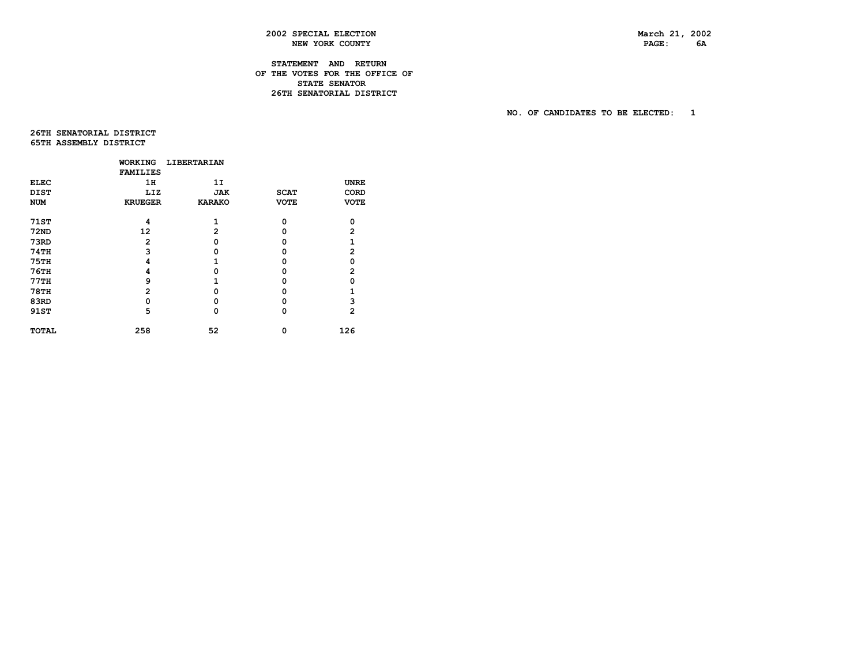PAGE: 6A

#### **2002 SPECIAL ELECTION March 21, 2002 NEW YORK COUNTY**

### **STATEMENT AND RETURN OF THE VOTES FOR THE OFFICE OF STATE SENATOR 26TH SENATORIAL DISTRICT**

 **NO. OF CANDIDATES TO BE ELECTED: 1** 

 **26THSENATORIALDISTRICT 65TH ASSEMBLY DISTRICT** 

|             | WORKING        | LIBERTARIAN   |             |                |
|-------------|----------------|---------------|-------------|----------------|
|             | FAMILIES       |               |             |                |
| <b>ELEC</b> | 1н             | 1I            |             | <b>UNRE</b>    |
| <b>DIST</b> | LIZ            | <b>JAK</b>    | <b>SCAT</b> | CORD           |
| <b>NUM</b>  | <b>KRUEGER</b> | <b>KARAKO</b> | <b>VOTE</b> | <b>VOTE</b>    |
| 71ST        | 4              |               | o           | 0              |
| 72ND        | 12             | 2             | O           | $\mathbf{2}$   |
| 73RD        | 2              | o             | O           | 1              |
| <b>74TH</b> | 3              | n             | o           | $\overline{2}$ |
| <b>75TH</b> | 4              |               | o           | $\Omega$       |
| <b>76TH</b> | 4              | ი             | O           | $\mathfrak{p}$ |
| 77TH        | 9              |               | O           | $\Omega$       |
| <b>78TH</b> | 2              | ი             | O           |                |
| 83RD        | Ω              | o             | 0           | 3              |
| 91ST        | 5              | 0             | 0           | $\overline{2}$ |
| TOTAL       | 258            | 52            | 0           | 126            |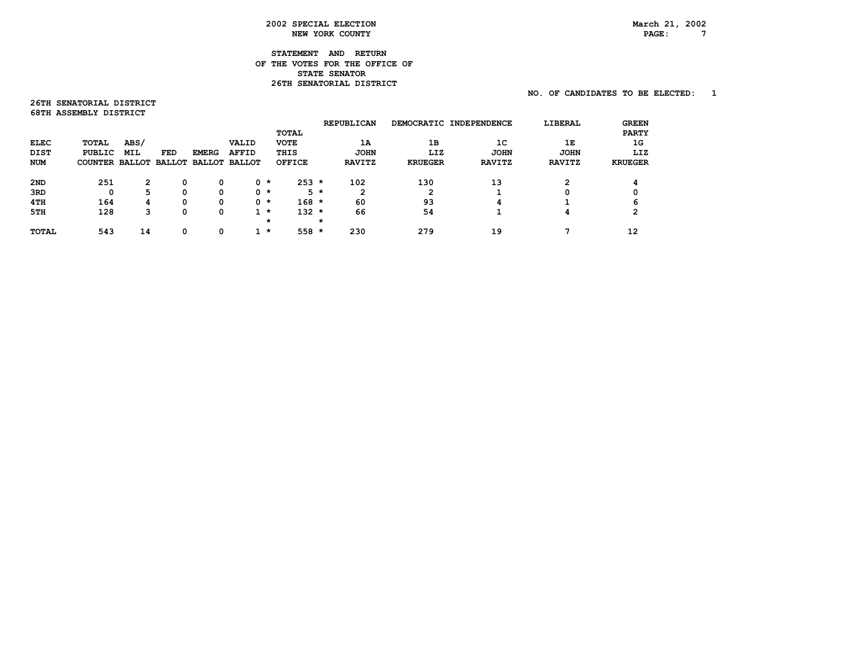# PAGE: 7

### **STATEMENT AND RETURN OF THE VOTES FOR THE OFFICE OF STATE SENATOR 26TH SENATORIAL DISTRICT**

### **NO. OF CANDIDATES TO BE ELECTED: 1**

**26TH SENATORIAL DISTRICT 68TH ASSEMBLY DISTRICT** 

|                 |                                     |            |     |              |              |         |              | <b>REPUBLICAN</b> |                | DEMOCRATIC INDEPENDENCE | LIBERAL       | <b>GREEN</b>   |
|-----------------|-------------------------------------|------------|-----|--------------|--------------|---------|--------------|-------------------|----------------|-------------------------|---------------|----------------|
|                 |                                     |            |     |              |              |         | <b>TOTAL</b> |                   |                |                         |               | <b>PARTY</b>   |
| <b>ELEC</b>     | TOTAL                               | ABS/       |     |              | VALID        |         | <b>VOTE</b>  | 1A                | 1B             | 1 <sup>c</sup>          | 1Е            | 1G             |
| <b>DIST</b>     | <b>PUBLIC</b>                       | <b>MIL</b> | FED | <b>EMERG</b> | <b>AFFID</b> |         | THIS         | <b>JOHN</b>       | LIZ            | <b>JOHN</b>             | <b>JOHN</b>   | LIZ            |
| <b>NUM</b>      | COUNTER BALLOT BALLOT BALLOT BALLOT |            |     |              |              |         | OFFICE       | <b>RAVITZ</b>     | <b>KRUEGER</b> | <b>RAVITZ</b>           | <b>RAVITZ</b> | <b>KRUEGER</b> |
|                 |                                     |            |     |              |              |         |              |                   |                |                         |               |                |
| 2 <sub>ND</sub> | 251                                 | 2          | 0   | 0            |              | $0 *$   | $253 *$      | 102               | 130            | 13                      | 2             |                |
| 3RD             | 0                                   | 5          | 0   | 0            |              | $0 *$   |              | 5 *<br>2          | $\mathbf{2}$   |                         | 0             |                |
| 4TH             | 164                                 | 4          | 0   | 0            |              | $0 *$   | $168 *$      | 60                | 93             | 4                       |               |                |
| 5TH             | 128                                 | 3          | o   | 0            |              | $1 *$   | $132 *$      | 66                | 54             |                         | 4             |                |
|                 |                                     |            |     |              |              | $\star$ |              | $\star$           |                |                         |               |                |
| <b>TOTAL</b>    | 543                                 | 14         | 0   | 0            |              | $1 *$   | $558 *$      | 230               | 279            | 19                      | 7             | 12             |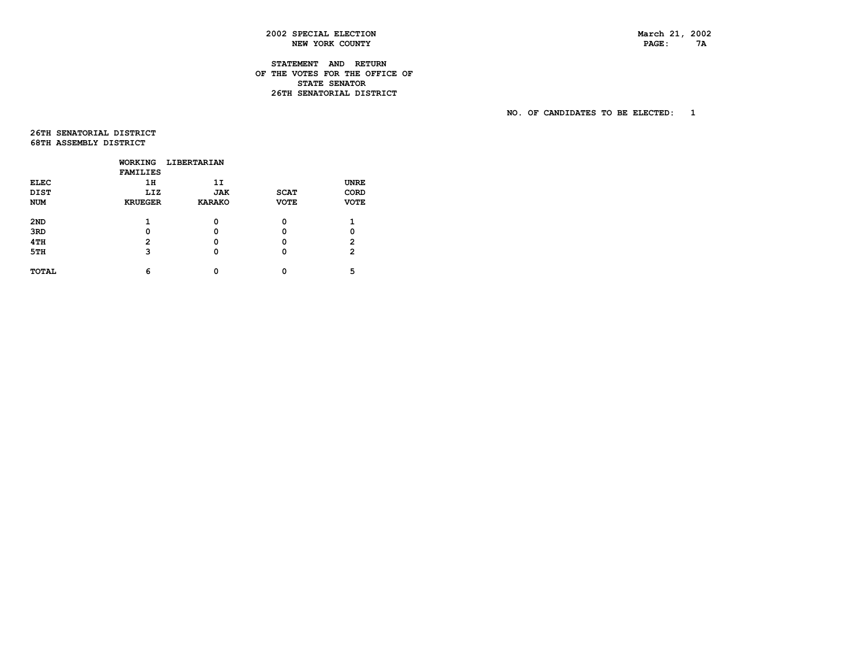PAGE: 7A

#### **2002 SPECIAL ELECTION March 21, 2002 NEW YORK COUNTY**

### **STATEMENT AND RETURN OF THE VOTES FOR THE OFFICE OF STATE SENATOR 26TH SENATORIAL DISTRICT**

 **NO. OF CANDIDATES TO BE ELECTED: 1** 

 **26THSENATORIALDISTRICT 68TH ASSEMBLY DISTRICT** 

|                 | WORKING         | LIBERTARIAN   |             |                |
|-----------------|-----------------|---------------|-------------|----------------|
|                 | <b>FAMILIES</b> |               |             |                |
| <b>ELEC</b>     | 1н              | 11            |             | <b>UNRE</b>    |
| <b>DIST</b>     | LIZ             | <b>JAK</b>    | <b>SCAT</b> | CORD           |
| <b>NUM</b>      | <b>KRUEGER</b>  | <b>KARAKO</b> | <b>VOTE</b> | <b>VOTE</b>    |
|                 |                 |               |             |                |
| 2 <sub>ND</sub> |                 | 0             | $\Omega$    |                |
| 3RD             | ٥               | 0             | 0           | 0              |
| 4TH             | $\mathbf{2}$    | 0             | 0           | $\overline{2}$ |
| 5TH             | 3               | 0             | $\Omega$    | $\overline{2}$ |
|                 |                 |               |             |                |
| TOTAL           | 6               | 0             | 0           | 5              |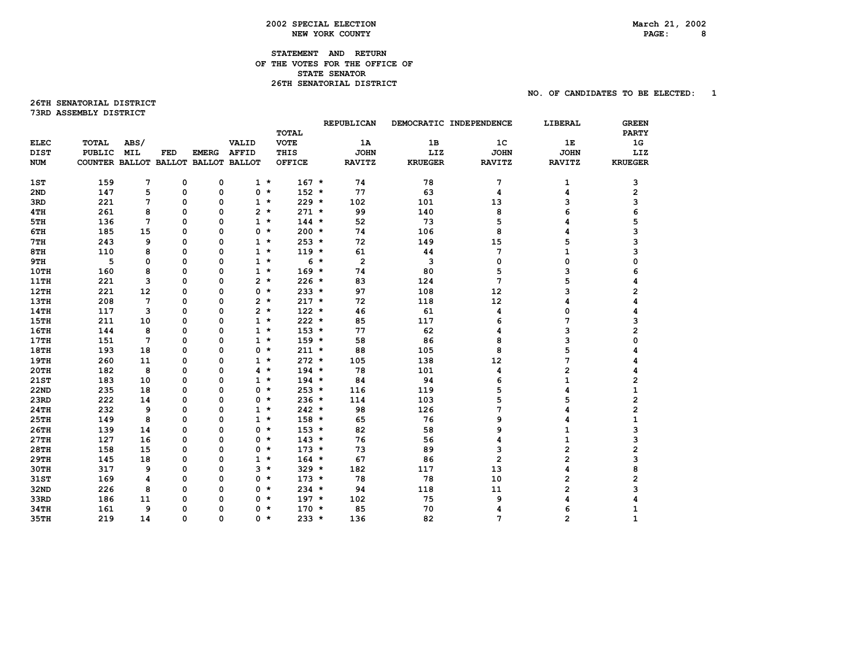#### **STATEMENT AND RETURN OF THE VOTES FOR THE OFFICE OF STATE SENATOR 26TH SENATORIAL DISTRICT**

**26TH SENATORIAL DISTRICT 73RD ASSEMBLY DISTRICT** 

|             |                                     |            |             |              |                |         | <b>TOTAL</b> | REPUBLICAN     |                | DEMOCRATIC INDEPENDENCE | LIBERAL                 | <b>GREEN</b><br><b>PARTY</b> |
|-------------|-------------------------------------|------------|-------------|--------------|----------------|---------|--------------|----------------|----------------|-------------------------|-------------------------|------------------------------|
| <b>ELEC</b> | TOTAL                               | ABS/       |             |              | VALID          |         | <b>VOTE</b>  | 1A             | 1B             | 1 <sup>C</sup>          | 1E                      | 1G                           |
| <b>DIST</b> | PUBLIC                              | <b>MIL</b> | <b>FED</b>  | <b>EMERG</b> | <b>AFFID</b>   |         | THIS         | <b>JOHN</b>    | LIZ            | <b>JOHN</b>             | <b>JOHN</b>             | LIZ                          |
| <b>NUM</b>  | COUNTER BALLOT BALLOT BALLOT BALLOT |            |             |              |                |         | OFFICE       | <b>RAVITZ</b>  | <b>KRUEGER</b> | <b>RAVITZ</b>           | <b>RAVITZ</b>           | <b>KRUEGER</b>               |
| 1ST         | 159                                 | 7          | 0           | 0            | $1 *$          |         | $167 *$      | 74             | 78             | 7                       | 1                       | 3                            |
| 2ND         | 147                                 | 5          | 0           | 0            | 0              | $\star$ | $152 *$      | 77             | 63             | 4                       | 4                       | 2                            |
| 3RD         | 221                                 | 7          | 0           | 0            | $1 *$          |         | $229 *$      | 102            | 101            | 13                      | 3                       | з                            |
| 4TH         | 261                                 | 8          | 0           | 0            | 2              | $\star$ | $271 *$      | 99             | 140            | 8                       | 6                       | 6                            |
| 5TH         | 136                                 | 7          | $\Omega$    | 0            | $1 *$          |         | $144 *$      | 52             | 73             | 5                       | 4                       | 5                            |
| 6TH         | 185                                 | 15         | 0           | 0            | 0              | $\star$ | $200 *$      | 74             | 106            | 8                       | 4                       | 3                            |
| 7TH         | 243                                 | 9          | 0           | 0            | $\mathbf{1}$   | $\star$ | $253 *$      | 72             | 149            | 15                      | 5                       | з                            |
| 8TH         | 110                                 | 8          | 0           | 0            | $1 *$          |         | $119 *$      | 61             | 44             | 7                       | $\mathbf{1}$            | з                            |
| 9TH         | 5                                   | 0          | 0           | 0            | $1 *$          |         | $6 *$        | $\overline{2}$ | 3              | 0                       | 0                       | 0                            |
| 10TH        | 160                                 | 8          | $\mathbf 0$ | 0            | $1 *$          |         | $169 *$      | 74             | 80             | 5                       | 3                       | 6                            |
| 11TH        | 221                                 | 3          | $\mathbf 0$ | 0            | $\overline{2}$ | $\star$ | $226 *$      | 83             | 124            | 7                       | 5                       | 4                            |
| <b>12TH</b> | 221                                 | 12         | $\mathbf 0$ | 0            | 0              | $\star$ | $233 *$      | 97             | 108            | 12                      | 3                       | 2                            |
| 13TH        | 208                                 | 7          | $\mathbf 0$ | 0            | $\overline{2}$ | $\star$ | $217 *$      | 72             | 118            | 12                      | 4                       | 4                            |
| <b>14TH</b> | 117                                 | 3          | 0           | 0            | 2              | $\star$ | $122 *$      | 46             | 61             | 4                       | 0                       | 4                            |
| <b>15TH</b> | 211                                 | 10         | 0           | 0            | $1 *$          |         | $222 *$      | 85             | 117            | 6                       | 7                       | 3                            |
| <b>16TH</b> | 144                                 | 8          | $\Omega$    | 0            | $\mathbf{1}$   | $\star$ | $153 *$      | 77             | 62             | 4                       | 3                       | 2                            |
| 17TH        | 151                                 | 7          | $\mathbf 0$ | 0            | $\mathbf{1}$   | $\star$ | $159 *$      | 58             | 86             | 8                       | 3                       | 0                            |
| <b>18TH</b> | 193                                 | 18         | 0           | 0            | 0              | $\star$ | $211 *$      | 88             | 105            | 8                       | 5                       | 4                            |
| 19TH        | 260                                 | 11         | $\mathbf 0$ | 0            | $\mathbf{1}$   | $\star$ | $272 *$      | 105            | 138            | 12                      | 7                       | 4                            |
| 20TH        | 182                                 | 8          | $\mathbf 0$ | 0            | 4              | $\star$ | $194 *$      | 78             | 101            | 4                       | 2                       | 4                            |
| 21ST        | 183                                 | 10         | $\mathbf 0$ | 0            | $1 *$          |         | $194 *$      | 84             | 94             | 6                       | 1                       | 2                            |
| <b>22ND</b> | 235                                 | 18         | $\Omega$    | 0            | 0              | $\star$ | $253 *$      | 116            | 119            | 5                       | 4                       | $\mathbf 1$                  |
| 23RD        | 222                                 | 14         | $\mathbf 0$ | 0            | 0              | $\star$ | $236 *$      | 114            | 103            | 5                       | 5                       | 2                            |
| <b>24TH</b> | 232                                 | 9          | $\mathbf 0$ | 0            | $\mathbf{1}$   | $\star$ | $242 *$      | 98             | 126            | 7                       | 4                       | $\mathbf 2$                  |
| 25TH        | 149                                 | 8          | $\Omega$    | 0            | $\mathbf{1}$   | $\star$ | $158 *$      | 65             | 76             | 9                       | 4                       | $\mathbf 1$                  |
| 26TH        | 139                                 | 14         | $\mathbf 0$ | 0            | 0              | $\star$ | $153 *$      | 82             | 58             | 9                       | 1                       | з                            |
| 27TH        | 127                                 | 16         | $\mathbf 0$ | 0            | 0              | $\star$ | $143 *$      | 76             | 56             | 4                       | 1                       | з                            |
| <b>28TH</b> | 158                                 | 15         | 0           | 0            | 0              | $\star$ | $173 *$      | 73             | 89             | 3                       | 2                       | $\mathbf 2$                  |
| <b>29TH</b> | 145                                 | 18         | $\Omega$    | 0            | $\mathbf{1}$   | $\star$ | $164 *$      | 67             | 86             | $\overline{\mathbf{c}}$ | $\overline{\mathbf{c}}$ | 3                            |
| 30TH        | 317                                 | 9          | $\Omega$    | 0            | 3              | $\star$ | $329 *$      | 182            | 117            | 13                      | 4                       | 8                            |
| 31ST        | 169                                 | 4          | $\Omega$    | 0            | 0              | $\star$ | $173 *$      | 78             | 78             | 10                      | 2                       | 2                            |
| 32ND        | 226                                 | 8          | $\Omega$    | 0            | 0 *            |         | $234 *$      | 94             | 118            | 11                      | 2                       | 3                            |
| 33RD        | 186                                 | 11         | 0           | 0            | 0              | $\star$ | $197 *$      | 102            | 75             | 9                       | 4                       | 4                            |
| 34TH        | 161                                 | 9          | 0           | 0            | 0              | $\star$ | $170 *$      | 85             | 70             | 4                       | 6                       | 1                            |
| <b>35TH</b> | 219                                 | 14         | $\mathbf 0$ | 0            | 0 *            |         | $233 *$      | 136            | 82             | 7                       | $\overline{a}$          | $\mathbf{1}$                 |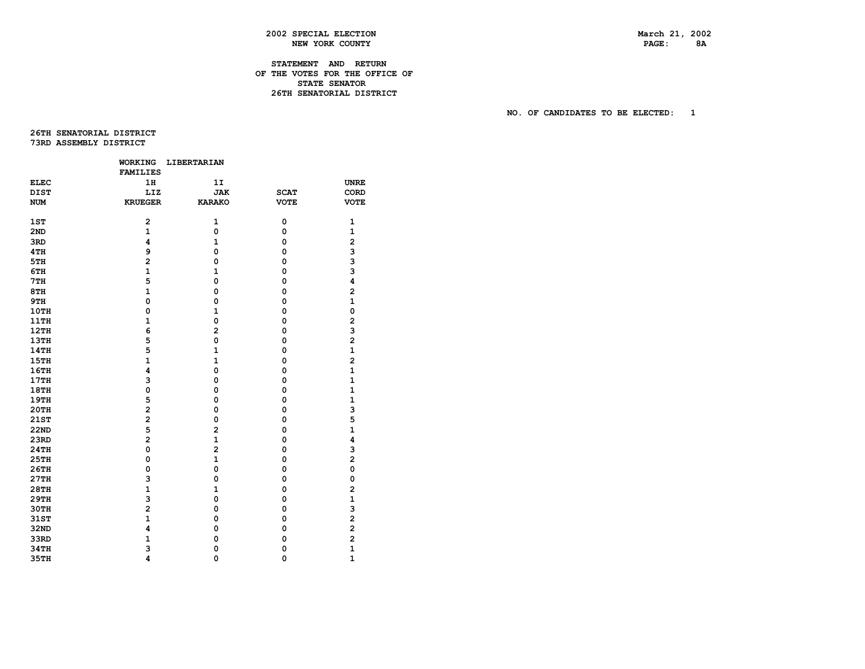PAGE: 8A

#### **2002 SPECIAL ELECTION March 21, 2002 NEW YORK COUNTY**

### **STATEMENT AND RETURN OF THE VOTES FOR THE OFFICE OF STATE SENATOR 26TH SENATORIAL DISTRICT**

 **NO. OF CANDIDATES TO BE ELECTED: 1** 

#### **26THSENATORIALDISTRICT 73RD ASSEMBLY DISTRICT**

|                 | WORKING                 | LIBERTARIAN    |             |                         |
|-----------------|-------------------------|----------------|-------------|-------------------------|
|                 | <b>FAMILIES</b>         |                |             |                         |
| <b>ELEC</b>     | 1H                      | 1 <sub>I</sub> |             | <b>UNRE</b>             |
| <b>DIST</b>     | LIZ                     | <b>JAK</b>     | <b>SCAT</b> | CORD                    |
| <b>NUM</b>      | <b>KRUEGER</b>          | <b>KARAKO</b>  | <b>VOTE</b> | <b>VOTE</b>             |
|                 |                         |                |             |                         |
| 1ST             | $\overline{\mathbf{c}}$ | $\mathbf{1}$   | 0           | $\mathbf{1}$            |
| 2 <sub>ND</sub> | $\mathbf{1}$            | 0              | 0           | $\mathbf{1}$            |
| 3RD             | 4                       | $\mathbf{1}$   | 0           | 2                       |
| 4TH             | 9                       | 0              | 0           | 3                       |
| 5TH             | $\overline{a}$          | 0              | 0           | з                       |
| 6TH             | $\mathbf{1}$            | $\mathbf{1}$   | 0           | 3                       |
| 7TH             | 5                       | 0              | 0           | 4                       |
| 8TH             | $\mathbf{1}$            | 0              | 0           | $\mathbf 2$             |
| 9TH             | 0                       | 0              | 0           | $\mathbf{1}$            |
| 10TH            | 0                       | $\mathbf{1}$   | 0           | 0                       |
| <b>11TH</b>     | 1                       | 0              | 0           | $\overline{\mathbf{c}}$ |
| 12TH            | 6                       | $\overline{a}$ | 0           | з                       |
| <b>13TH</b>     | 5                       | 0              | 0           | $\overline{\mathbf{c}}$ |
| 14TH            | 5                       | $\mathbf{1}$   | 0           | $\mathbf{1}$            |
| 15TH            | $\mathbf{1}$            | $\mathbf{1}$   | 0           | 2                       |
| <b>16TH</b>     | 4                       | 0              | 0           | $\mathbf{1}$            |
| 17TH            | 3                       | 0              | 0           | $\mathbf{1}$            |
| <b>18TH</b>     | 0                       | 0              | 0           | $\mathbf{1}$            |
| <b>19TH</b>     | 5                       | 0              | 0           | $\mathbf{1}$            |
| <b>20TH</b>     | $\mathbf 2$             | 0              | 0           | 3                       |
| <b>21ST</b>     | $\overline{a}$          | 0              | 0           | 5                       |
| <b>22ND</b>     | 5                       | $\overline{a}$ | 0           | $\mathbf{1}$            |
| 23RD            | $\overline{\mathbf{c}}$ | $\mathbf{1}$   | 0           | 4                       |
| 24TH            | $\mathbf 0$             | $\overline{a}$ | 0           | з                       |
| 25TH            | 0                       | $\mathbf{1}$   | 0           | $\overline{\mathbf{c}}$ |
| 26TH            | 0                       | $\mathbf 0$    | 0           | 0                       |
| 27TH            | 3                       | 0              | 0           | 0                       |
| <b>28TH</b>     | $\mathbf{1}$            | $\mathbf{1}$   | 0           | $\overline{\mathbf{c}}$ |
| 29TH            | 3                       | 0              | 0           | $\mathbf 1$             |
| 30TH            | $\overline{a}$          | 0              | 0           | 3                       |
| 31ST            | $\mathbf{1}$            | 0              | 0           | $\overline{\mathbf{c}}$ |
| 32ND            | 4                       | 0              | 0           | $\overline{\mathbf{c}}$ |
| 33RD            | $\mathbf{1}$            | 0              | 0           | 2                       |
| 34TH            | 3                       | 0              | 0           | $\mathbf{1}$            |
| 35TH            | 4                       | $\mathbf 0$    | 0           | $\mathbf{1}$            |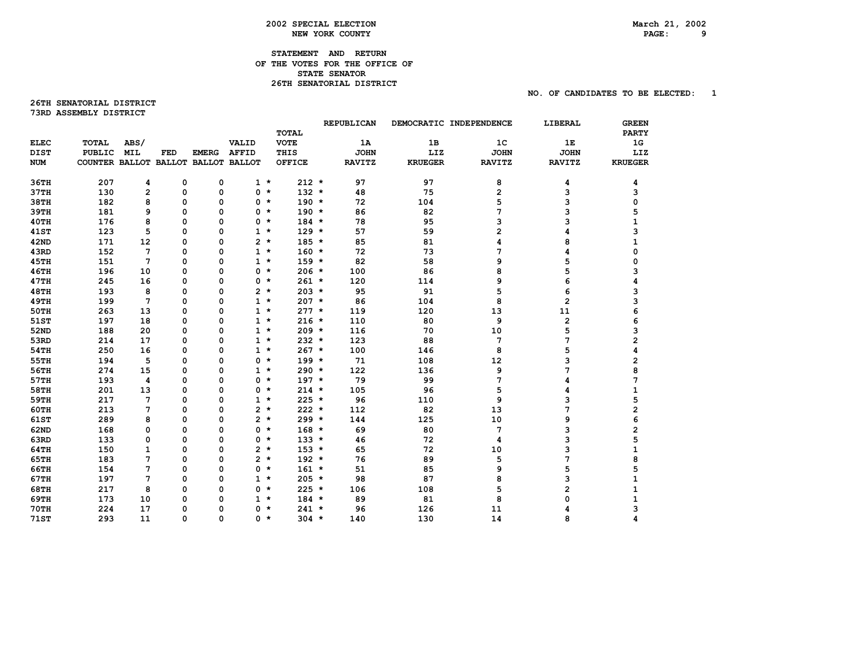#### **STATEMENT AND RETURN OF THE VOTES FOR THE OFFICE OF STATE SENATOR 26TH SENATORIAL DISTRICT**

**26TH SENATORIAL DISTRICT 73RD ASSEMBLY DISTRICT** 

|             |                                     |              |             |              |                |         | <b>TOTAL</b> | REPUBLICAN    |                | DEMOCRATIC INDEPENDENCE | LIBERAL                 | <b>GREEN</b><br><b>PARTY</b> |
|-------------|-------------------------------------|--------------|-------------|--------------|----------------|---------|--------------|---------------|----------------|-------------------------|-------------------------|------------------------------|
| <b>ELEC</b> | <b>TOTAL</b>                        | ABS/         |             |              | VALID          |         | <b>VOTE</b>  | 1A            | 1B             | 1 <sub>C</sub>          | 1E                      | 1G                           |
| <b>DIST</b> | PUBLIC                              | <b>MIL</b>   | FED         | <b>EMERG</b> | <b>AFFID</b>   |         | THIS         | <b>JOHN</b>   | LIZ            | <b>JOHN</b>             | <b>JOHN</b>             | LIZ                          |
| <b>NUM</b>  | COUNTER BALLOT BALLOT BALLOT BALLOT |              |             |              |                |         | OFFICE       | <b>RAVITZ</b> | <b>KRUEGER</b> | <b>RAVITZ</b>           | <b>RAVITZ</b>           | <b>KRUEGER</b>               |
| 36TH        | 207                                 | 4            | 0           | 0            | $1 *$          |         | $212 *$      | 97            | 97             | 8                       | 4                       | 4                            |
| 37TH        | 130                                 | $\mathbf 2$  | $\mathbf 0$ | 0            | 0              | $\star$ | $132 *$      | 48            | 75             | 2                       | з                       | з                            |
| <b>38TH</b> | 182                                 | 8            | 0           | 0            | 0              | $\star$ | $190 *$      | 72            | 104            | 5                       | 3                       | 0                            |
| 39TH        | 181                                 | 9            | $\Omega$    | 0            | 0              | $\star$ | $190 *$      | 86            | 82             | 7                       | 3                       | 5                            |
| 40TH        | 176                                 | 8            | 0           | 0            | 0              | $\star$ | $184 *$      | 78            | 95             | 3                       | 3                       | $\mathbf{1}$                 |
| <b>41ST</b> | 123                                 | 5            | $\mathbf 0$ | 0            | $\mathbf{1}$   | $\star$ | $129 *$      | 57            | 59             | 2                       | 4                       | 3                            |
| 42ND        | 171                                 | 12           | 0           | 0            | $\overline{2}$ | $\star$ | $185 *$      | 85            | 81             | 4                       | 8                       | 1                            |
| 43RD        | 152                                 | 7            | $\Omega$    | 0            | $\mathbf{1}$   | $\star$ | $160 *$      | 72            | 73             | 7                       | 4                       | 0                            |
| <b>45TH</b> | 151                                 | 7            | $\mathbf 0$ | 0            | $1 *$          |         | $159 *$      | 82            | 58             | 9                       | 5                       | 0                            |
| 46TH        | 196                                 | 10           | $\Omega$    | 0            | 0              | $\star$ | $206 *$      | 100           | 86             | 8                       | 5                       | з                            |
| 47TH        | 245                                 | 16           | 0           | 0            | 0              | $\star$ | $261 *$      | 120           | 114            | 9                       | 6                       | 4                            |
| <b>48TH</b> | 193                                 | 8            | 0           | 0            | $\overline{2}$ | $\star$ | $203 *$      | 95            | 91             | 5                       | 6                       | з                            |
| <b>49TH</b> | 199                                 | 7            | 0           | 0            | $\mathbf{1}$   | $\star$ | $207 *$      | 86            | 104            | 8                       | $\overline{2}$          | з                            |
| <b>50TH</b> | 263                                 | 13           | 0           | 0            | $\mathbf{1}$   | $\star$ | $277 *$      | 119           | 120            | 13                      | 11                      | 6                            |
| 51ST        | 197                                 | 18           | 0           | 0            | 1              | $\star$ | $216 *$      | 110           | 80             | 9                       | $\overline{\mathbf{c}}$ | 6                            |
| 52ND        | 188                                 | 20           | 0           | 0            | $\mathbf{1}$   | $\star$ | $209 *$      | 116           | 70             | 10                      | 5                       | 3                            |
| 53RD        | 214                                 | 17           | 0           | 0            | $\mathbf{1}$   | $\star$ | $232 *$      | 123           | 88             | 7                       | 7                       | $\overline{\mathbf{c}}$      |
| 54TH        | 250                                 | 16           | 0           | 0            | $\mathbf{1}$   | $\star$ | $267 *$      | 100           | 146            | 8                       | 5                       | 4                            |
| 55TH        | 194                                 | 5            | 0           | 0            | 0              | $\star$ | $199 *$      | 71            | 108            | 12                      | 3                       | 2                            |
| 56TH        | 274                                 | 15           | 0           | 0            | $1 *$          |         | $290 *$      | 122           | 136            | 9                       | 7                       | 8                            |
| 57TH        | 193                                 | 4            | 0           | 0            | 0              | $\star$ | $197 *$      | 79            | 99             | 7                       | 4                       | 7                            |
| 58TH        | 201                                 | 13           | 0           | 0            | 0              | $\star$ | $214 *$      | 105           | 96             | 5                       | 4                       | $\mathbf 1$                  |
| 59TH        | 217                                 | 7            | $\mathbf 0$ | 0            | 1              | $\star$ | $225 *$      | 96            | 110            | 9                       | 3                       | 5                            |
| <b>60TH</b> | 213                                 | 7            | 0           | 0            | $\overline{2}$ | $\star$ | $222 *$      | 112           | 82             | 13                      | 7                       | $\mathbf 2$                  |
| <b>61ST</b> | 289                                 | 8            | $\Omega$    | 0            | $\overline{2}$ | $\star$ | $299 *$      | 144           | 125            | 10                      | 9                       | 6                            |
| 62ND        | 168                                 | 0            | 0           | 0            | 0              | $\star$ | $168 *$      | 69            | 80             | 7                       | 3                       | 2                            |
| 63RD        | 133                                 | 0            | 0           | 0            | 0              | $\star$ | $133 *$      | 46            | 72             | 4                       | 3                       | 5                            |
| <b>64TH</b> | 150                                 | $\mathbf{1}$ | $\mathbf 0$ | 0            | 2              | $\star$ | $153 *$      | 65            | 72             | 10                      | 3                       | $\mathbf{1}$                 |
| 65TH        | 183                                 | 7            | $\mathbf 0$ | 0            | $\overline{2}$ | $\star$ | $192 *$      | 76            | 89             | 5                       | 7                       | 8                            |
| 66TH        | 154                                 | 7            | $\mathbf 0$ | 0            | 0              | $\star$ | $161 *$      | 51            | 85             | 9                       | 5                       | 5                            |
| <b>67TH</b> | 197                                 | 7            | $\mathbf 0$ | 0            | $1 *$          |         | $205 *$      | 98            | 87             | 8                       | 3                       | $\mathbf{1}$                 |
| <b>68TH</b> | 217                                 | 8            | 0           | 0            | 0              | $\star$ | $225 *$      | 106           | 108            | 5                       | $\overline{a}$          | $\mathbf{1}$                 |
| 69TH        | 173                                 | 10           | $\Omega$    | 0            | $\mathbf{1}$   | $\star$ | $184 *$      | 89            | 81             | 8                       | 0                       | 1                            |
| <b>70TH</b> | 224                                 | 17           | 0           | 0            | 0              | $\star$ | $241 *$      | 96            | 126            | 11                      | 4                       | 3                            |
| <b>71ST</b> | 293                                 | 11           | $\mathbf 0$ | 0            | 0 *            |         | $304 *$      | 140           | 130            | 14                      | 8                       | 4                            |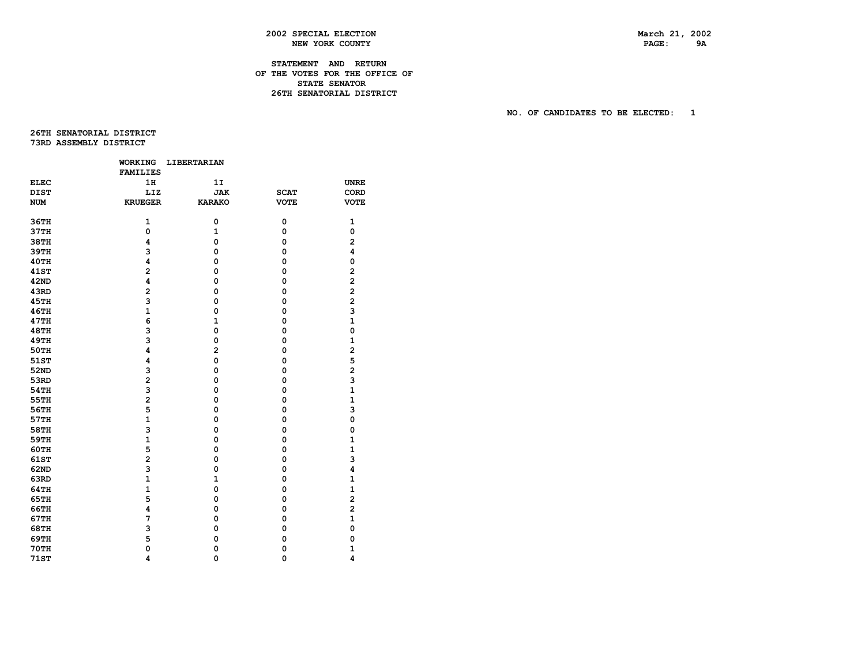PAGE: 9A

#### **2002 SPECIAL ELECTION March 21, 2002 NEW YORK COUNTY**

### **STATEMENT AND RETURN OF THE VOTES FOR THE OFFICE OF STATE SENATOR 26TH SENATORIAL DISTRICT**

 **NO. OF CANDIDATES TO BE ELECTED: 1** 

#### **26THSENATORIALDISTRICT 73RD ASSEMBLY DISTRICT**

|             | WORKING                 | LIBERTARIAN    |             |                         |
|-------------|-------------------------|----------------|-------------|-------------------------|
|             | <b>FAMILIES</b>         |                |             |                         |
| <b>ELEC</b> | 1H                      | 1 <sub>I</sub> |             | <b>UNRE</b>             |
| <b>DIST</b> | LIZ                     | <b>JAK</b>     | <b>SCAT</b> | CORD                    |
| <b>NUM</b>  | <b>KRUEGER</b>          | <b>KARAKO</b>  | <b>VOTE</b> | <b>VOTE</b>             |
|             |                         |                |             |                         |
| 36TH        | $\mathbf{1}$            | 0              | 0           | $\mathbf{1}$            |
| 37TH        | $\mathbf 0$             | $\mathbf{1}$   | 0           | 0                       |
| 38TH        | 4                       | 0              | 0           | $\overline{\mathbf{c}}$ |
| 39TH        | 3                       | 0              | 0           | 4                       |
| <b>40TH</b> | 4                       | 0              | 0           | 0                       |
| <b>41ST</b> | $\overline{\mathbf{c}}$ | 0              | 0           | $\overline{\mathbf{c}}$ |
| 42ND        | 4                       | 0              | 0           | $\overline{\mathbf{c}}$ |
| 43RD        | $\overline{\mathbf{c}}$ | 0              | 0           | $\overline{\mathbf{c}}$ |
| <b>45TH</b> | 3                       | $\mathbf 0$    | 0           | $\overline{a}$          |
| 46TH        | $\mathbf{1}$            | 0              | 0           | 3                       |
| 47TH        | 6                       | 1              | 0           | $\mathbf{1}$            |
| <b>48TH</b> | 3                       | 0              | 0           | 0                       |
| <b>49TH</b> | 3                       | 0              | 0           | $\mathbf{1}$            |
| 50TH        | 4                       | $\overline{a}$ | 0           | $\overline{\mathbf{c}}$ |
| 51ST        | 4                       | 0              | 0           | 5                       |
| 52ND        | 3                       | 0              | 0           | $\overline{\mathbf{c}}$ |
| 53RD        | $\overline{a}$          | 0              | 0           | 3                       |
| 54TH        | 3                       | 0              | 0           | $\mathbf{1}$            |
| 55TH        | $\overline{\mathbf{c}}$ | 0              | 0           | $\mathbf 1$             |
| 56TH        | 5                       | 0              | 0           | 3                       |
| 57TH        | $\mathbf{1}$            | 0              | 0           | 0                       |
| 58TH        | 3                       | 0              | 0           | 0                       |
| 59TH        | $\mathbf{1}$            | 0              | 0           | $\mathbf{1}$            |
| 60TH        | 5                       | 0              | 0           | $\mathbf{1}$            |
| <b>61ST</b> | $\overline{\mathbf{c}}$ | 0              | 0           | 3                       |
| 62ND        | 3                       | 0              | 0           | 4                       |
| 63RD        | $\mathbf{1}$            | $\mathbf{1}$   | 0           | $\mathbf{1}$            |
| 64TH        | $\mathbf{1}$            | 0              | 0           | $\mathbf{1}$            |
| 65TH        | 5                       | 0              | 0           | 2                       |
| 66TH        | 4                       | 0              | 0           | $\overline{\mathbf{c}}$ |
| 67TH        | 7                       | 0              | 0           | $\mathbf{1}$            |
| <b>68TH</b> | 3                       | 0              | 0           | 0                       |
| 69TH        | 5                       | 0              | 0           | 0                       |
| <b>70TH</b> | 0                       | 0              | 0           | $\mathbf{1}$            |
| <b>71ST</b> | 4                       | $\mathbf 0$    | 0           | 4                       |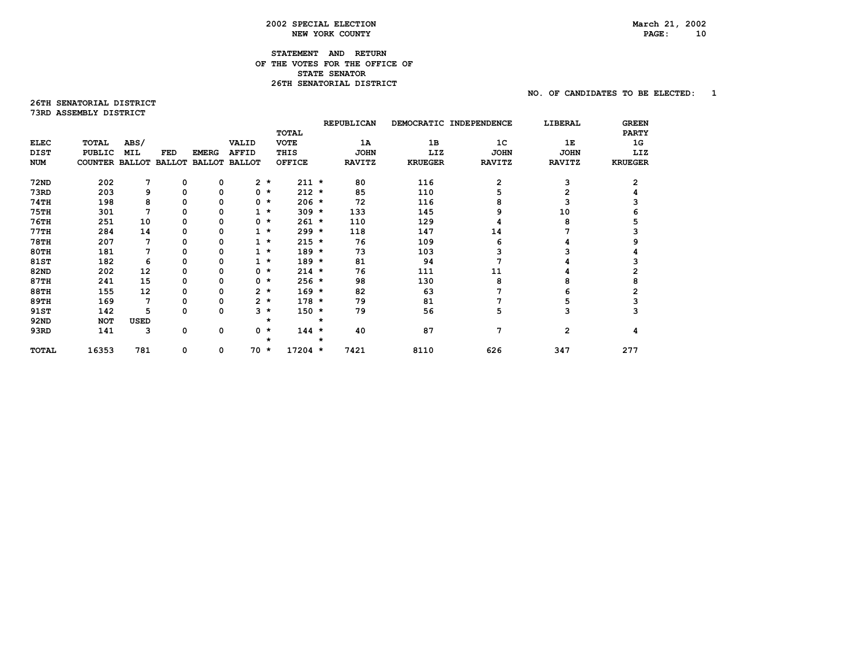### **STATEMENT AND RETURN OF THE VOTES FOR THE OFFICE OF STATE SENATOR 26TH SENATORIAL DISTRICT**

#### **26TH SENATORIAL DISTRICT 73RD ASSEMBLY DISTRICT**

|              |                |            |               |               |               |           |               |         | <b>REPUBLICAN</b> |                | DEMOCRATIC INDEPENDENCE | LIBERAL       | <b>GREEN</b>   |
|--------------|----------------|------------|---------------|---------------|---------------|-----------|---------------|---------|-------------------|----------------|-------------------------|---------------|----------------|
|              |                |            |               |               |               |           | <b>TOTAL</b>  |         |                   |                |                         |               | <b>PARTY</b>   |
| <b>ELEC</b>  | TOTAL          | ABS/       |               |               | VALID         |           | <b>VOTE</b>   |         | 1A                | 1B             | 1 <sub>C</sub>          | 1E            | 1G             |
| DIST         | <b>PUBLIC</b>  | <b>MIL</b> | FED           | <b>EMERG</b>  | <b>AFFID</b>  |           | THIS          |         | <b>JOHN</b>       | LIZ            | <b>JOHN</b>             | <b>JOHN</b>   | LIZ            |
| <b>NUM</b>   | COUNTER BALLOT |            | <b>BALLOT</b> | <b>BALLOT</b> | <b>BALLOT</b> |           | <b>OFFICE</b> |         | <b>RAVITZ</b>     | <b>KRUEGER</b> | <b>RAVITZ</b>           | <b>RAVITZ</b> | <b>KRUEGER</b> |
|              |                |            |               |               |               |           |               |         |                   |                |                         |               |                |
| <b>72ND</b>  | 202            | 7          | 0             | 0             |               | $2 *$     | $211 *$       |         | 80                | 116            | 2                       | з             | 2              |
| 73RD         | 203            | 9          | 0             | 0             |               | $0 *$     | $212 *$       |         | 85                | 110            |                         | 2             |                |
| <b>74TH</b>  | 198            | 8          | 0             | 0             |               | $0 *$     | $206 *$       |         | 72                | 116            | 8                       | 3             |                |
| <b>75TH</b>  | 301            | 7          | 0             | 0             |               | $1 *$     | $309 *$       |         | 133               | 145            | 9                       | 10            | 6              |
| 76TH         | 251            | 10         | 0             | Ω             |               | $0 *$     | $261 *$       |         | 110               | 129            |                         | 8             | 5              |
| $77$ TH      | 284            | 14         | 0             | 0             |               | $1 \star$ | $299 *$       |         | 118               | 147            | 14                      |               | 3              |
| <b>78TH</b>  | 207            | 7          | 0             | Ω             |               | $1*$      | $215 *$       |         | 76                | 109            | 6                       |               |                |
| 80TH         | 181            | 7          | 0             | 0             |               | $1 *$     | $189 *$       |         | 73                | 103            |                         |               |                |
| 81ST         | 182            | 6          | 0             | 0             |               | $1 *$     | $189 *$       |         | 81                | 94             |                         |               |                |
| 82ND         | 202            | 12         | 0             | Ω             |               | $0 *$     | $214 *$       |         | 76                | 111            | 11                      |               |                |
| 87TH         | 241            | 15         | ٥             | Ω             |               | $0 *$     | $256 *$       |         | 98                | 130            | 8                       | 8             |                |
| 88TH         | 155            | 12         | 0             | Ω             |               | $2 *$     | $169 *$       |         | 82                | 63             |                         | 6             |                |
| 89TH         | 169            | 7          | 0             | 0             |               | $2 *$     | $178 *$       |         | 79                | 81             |                         | 5             | з              |
| 91ST         | 142            | 5          | 0             | 0             |               | 3 *       | $150 *$       |         | 79                | 56             | 5                       | 3             | 3              |
| 92ND         | NOT            | USED       |               |               |               | $\star$   |               | $\star$ |                   |                |                         |               |                |
| 93RD         | 141            | з          | 0             | 0             |               | $0 *$     | $144 *$       |         | 40                | 87             | 7                       | $\mathbf{2}$  | 4              |
|              |                |            |               |               |               | $\star$   |               | $\star$ |                   |                |                         |               |                |
| <b>TOTAL</b> | 16353          | 781        | 0             | 0             | 70            | $\star$   | $17204$ *     |         | 7421              | 8110           | 626                     | 347           | 277            |
|              |                |            |               |               |               |           |               |         |                   |                |                         |               |                |

# $PAGE: 10$